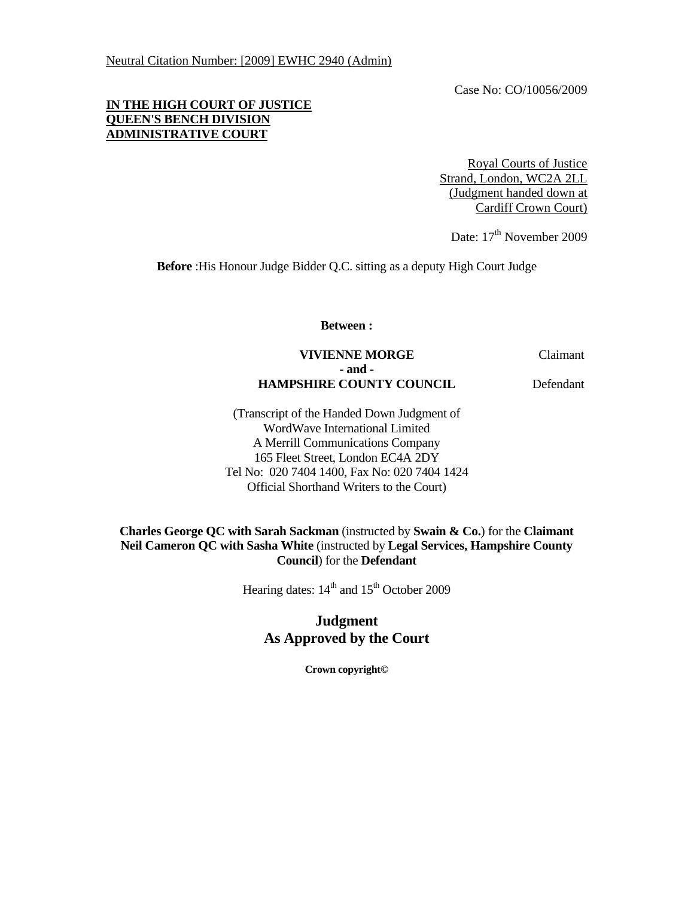Case No: CO/10056/2009

# **IN THE HIGH COURT OF JUSTICE QUEEN'S BENCH DIVISION ADMINISTRATIVE COURT**

Royal Courts of Justice Strand, London, WC2A 2LL (Judgment handed down at Cardiff Crown Court)

Date: 17<sup>th</sup> November 2009

**Before** :His Honour Judge Bidder Q.C. sitting as a deputy High Court Judge

**Between :** 

# **VIVIENNE MORGE** Claimant  **- and - HAMPSHIRE COUNTY COUNCIL** Defendant

(Transcript of the Handed Down Judgment of WordWave International Limited A Merrill Communications Company 165 Fleet Street, London EC4A 2DY Tel No: 020 7404 1400, Fax No: 020 7404 1424 Official Shorthand Writers to the Court)

### **Charles George QC with Sarah Sackman** (instructed by **Swain & Co.**) for the **Claimant Neil Cameron QC with Sasha White** (instructed by **Legal Services, Hampshire County Council**) for the **Defendant**

Hearing dates:  $14<sup>th</sup>$  and  $15<sup>th</sup>$  October 2009

# **Judgment As Approved by the Court**

**Crown copyright©**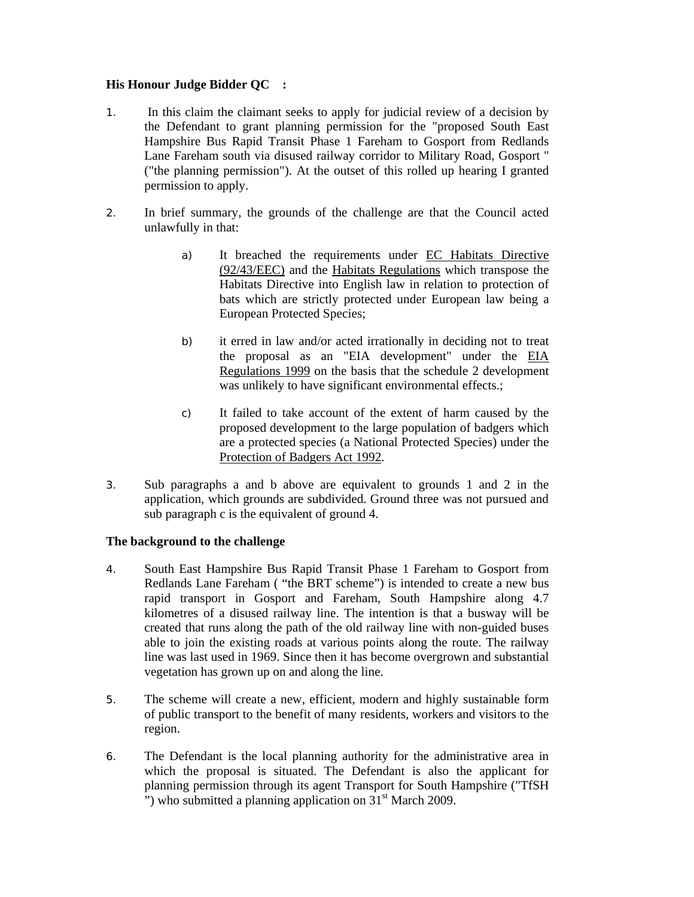# **His Honour Judge Bidder QC :**

- 1. In this claim the claimant seeks to apply for judicial review of a decision by the Defendant to grant planning permission for the "proposed South East Hampshire Bus Rapid Transit Phase 1 Fareham to Gosport from Redlands Lane Fareham south via disused railway corridor to Military Road, Gosport " ("the planning permission"). At the outset of this rolled up hearing I granted permission to apply.
- 2. In brief summary, the grounds of the challenge are that the Council acted unlawfully in that:
	- a) It breached the requirements under EC Habitats Directive (92/43/EEC) and the Habitats Regulations which transpose the Habitats Directive into English law in relation to protection of bats which are strictly protected under European law being a European Protected Species;
	- b) it erred in law and/or acted irrationally in deciding not to treat the proposal as an "EIA development" under the EIA Regulations 1999 on the basis that the schedule 2 development was unlikely to have significant environmental effects.;
	- c) It failed to take account of the extent of harm caused by the proposed development to the large population of badgers which are a protected species (a National Protected Species) under the Protection of Badgers Act 1992.
- 3. Sub paragraphs a and b above are equivalent to grounds 1 and 2 in the application, which grounds are subdivided. Ground three was not pursued and sub paragraph c is the equivalent of ground 4.

### **The background to the challenge**

- 4. South East Hampshire Bus Rapid Transit Phase 1 Fareham to Gosport from Redlands Lane Fareham ( "the BRT scheme") is intended to create a new bus rapid transport in Gosport and Fareham, South Hampshire along 4.7 kilometres of a disused railway line. The intention is that a busway will be created that runs along the path of the old railway line with non-guided buses able to join the existing roads at various points along the route. The railway line was last used in 1969. Since then it has become overgrown and substantial vegetation has grown up on and along the line.
- 5. The scheme will create a new, efficient, modern and highly sustainable form of public transport to the benefit of many residents, workers and visitors to the region.
- 6. The Defendant is the local planning authority for the administrative area in which the proposal is situated. The Defendant is also the applicant for planning permission through its agent Transport for South Hampshire ("TfSH ") who submitted a planning application on  $31<sup>st</sup>$  March 2009.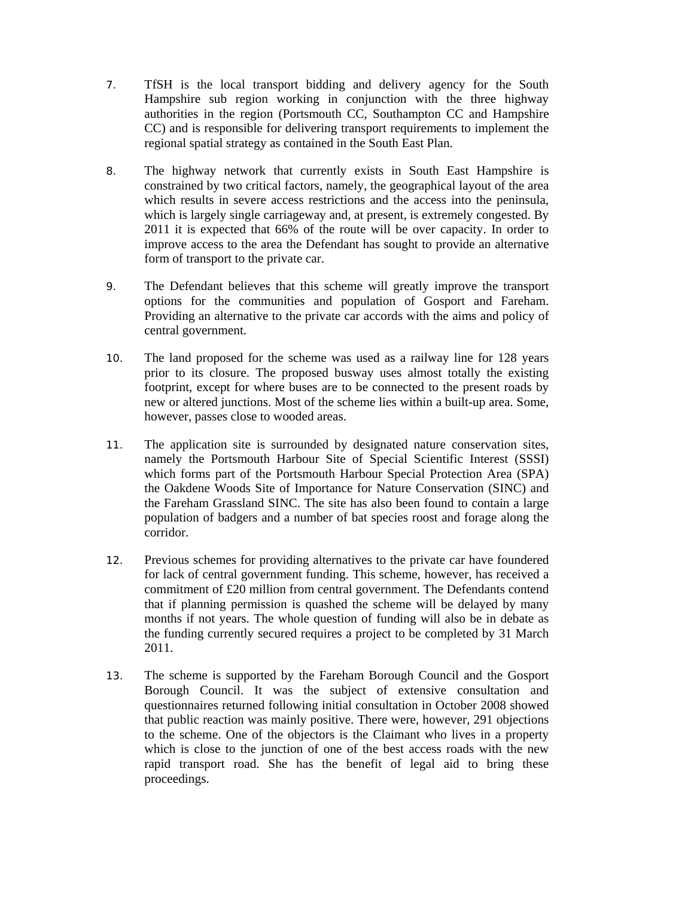- 7. TfSH is the local transport bidding and delivery agency for the South Hampshire sub region working in conjunction with the three highway authorities in the region (Portsmouth CC, Southampton CC and Hampshire CC) and is responsible for delivering transport requirements to implement the regional spatial strategy as contained in the South East Plan.
- 8. The highway network that currently exists in South East Hampshire is constrained by two critical factors, namely, the geographical layout of the area which results in severe access restrictions and the access into the peninsula, which is largely single carriageway and, at present, is extremely congested. By 2011 it is expected that 66% of the route will be over capacity. In order to improve access to the area the Defendant has sought to provide an alternative form of transport to the private car.
- 9. The Defendant believes that this scheme will greatly improve the transport options for the communities and population of Gosport and Fareham. Providing an alternative to the private car accords with the aims and policy of central government.
- 10. The land proposed for the scheme was used as a railway line for 128 years prior to its closure. The proposed busway uses almost totally the existing footprint, except for where buses are to be connected to the present roads by new or altered junctions. Most of the scheme lies within a built-up area. Some, however, passes close to wooded areas.
- 11. The application site is surrounded by designated nature conservation sites, namely the Portsmouth Harbour Site of Special Scientific Interest (SSSI) which forms part of the Portsmouth Harbour Special Protection Area (SPA) the Oakdene Woods Site of Importance for Nature Conservation (SINC) and the Fareham Grassland SINC. The site has also been found to contain a large population of badgers and a number of bat species roost and forage along the corridor.
- 12. Previous schemes for providing alternatives to the private car have foundered for lack of central government funding. This scheme, however, has received a commitment of £20 million from central government. The Defendants contend that if planning permission is quashed the scheme will be delayed by many months if not years. The whole question of funding will also be in debate as the funding currently secured requires a project to be completed by 31 March 2011.
- 13. The scheme is supported by the Fareham Borough Council and the Gosport Borough Council. It was the subject of extensive consultation and questionnaires returned following initial consultation in October 2008 showed that public reaction was mainly positive. There were, however, 291 objections to the scheme. One of the objectors is the Claimant who lives in a property which is close to the junction of one of the best access roads with the new rapid transport road. She has the benefit of legal aid to bring these proceedings.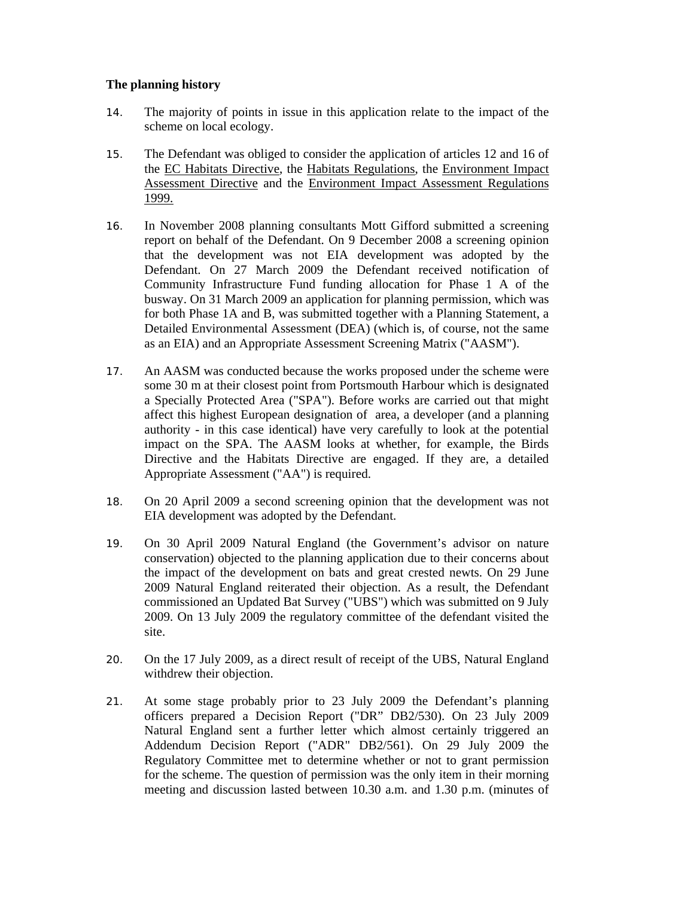# **The planning history**

- 14. The majority of points in issue in this application relate to the impact of the scheme on local ecology.
- 15. The Defendant was obliged to consider the application of articles 12 and 16 of the EC Habitats Directive, the Habitats Regulations, the Environment Impact Assessment Directive and the Environment Impact Assessment Regulations 1999.
- 16. In November 2008 planning consultants Mott Gifford submitted a screening report on behalf of the Defendant. On 9 December 2008 a screening opinion that the development was not EIA development was adopted by the Defendant. On 27 March 2009 the Defendant received notification of Community Infrastructure Fund funding allocation for Phase 1 A of the busway. On 31 March 2009 an application for planning permission, which was for both Phase 1A and B, was submitted together with a Planning Statement, a Detailed Environmental Assessment (DEA) (which is, of course, not the same as an EIA) and an Appropriate Assessment Screening Matrix ("AASM").
- 17. An AASM was conducted because the works proposed under the scheme were some 30 m at their closest point from Portsmouth Harbour which is designated a Specially Protected Area ("SPA"). Before works are carried out that might affect this highest European designation of area, a developer (and a planning authority - in this case identical) have very carefully to look at the potential impact on the SPA. The AASM looks at whether, for example, the Birds Directive and the Habitats Directive are engaged. If they are, a detailed Appropriate Assessment ("AA") is required.
- 18. On 20 April 2009 a second screening opinion that the development was not EIA development was adopted by the Defendant.
- 19. On 30 April 2009 Natural England (the Government's advisor on nature conservation) objected to the planning application due to their concerns about the impact of the development on bats and great crested newts. On 29 June 2009 Natural England reiterated their objection. As a result, the Defendant commissioned an Updated Bat Survey ("UBS") which was submitted on 9 July 2009. On 13 July 2009 the regulatory committee of the defendant visited the site.
- 20. On the 17 July 2009, as a direct result of receipt of the UBS, Natural England withdrew their objection.
- 21. At some stage probably prior to 23 July 2009 the Defendant's planning officers prepared a Decision Report ("DR" DB2/530). On 23 July 2009 Natural England sent a further letter which almost certainly triggered an Addendum Decision Report ("ADR" DB2/561). On 29 July 2009 the Regulatory Committee met to determine whether or not to grant permission for the scheme. The question of permission was the only item in their morning meeting and discussion lasted between 10.30 a.m. and 1.30 p.m. (minutes of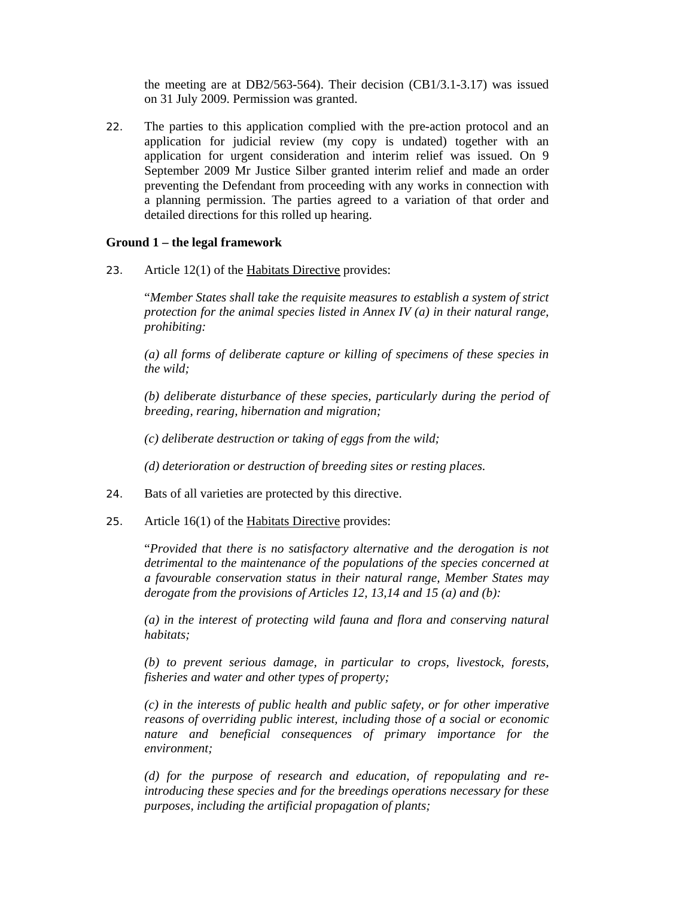the meeting are at DB2/563-564). Their decision (CB1/3.1-3.17) was issued on 31 July 2009. Permission was granted.

22. The parties to this application complied with the pre-action protocol and an application for judicial review (my copy is undated) together with an application for urgent consideration and interim relief was issued. On 9 September 2009 Mr Justice Silber granted interim relief and made an order preventing the Defendant from proceeding with any works in connection with a planning permission. The parties agreed to a variation of that order and detailed directions for this rolled up hearing.

#### **Ground 1 – the legal framework**

23. Article  $12(1)$  of the Habitats Directive provides:

"*Member States shall take the requisite measures to establish a system of strict protection for the animal species listed in Annex IV (a) in their natural range, prohibiting:* 

*(a) all forms of deliberate capture or killing of specimens of these species in the wild;* 

*(b) deliberate disturbance of these species, particularly during the period of breeding, rearing, hibernation and migration;* 

*(c) deliberate destruction or taking of eggs from the wild;* 

*(d) deterioration or destruction of breeding sites or resting places.* 

- 24. Bats of all varieties are protected by this directive.
- 25. Article 16(1) of the Habitats Directive provides:

"*Provided that there is no satisfactory alternative and the derogation is not detrimental to the maintenance of the populations of the species concerned at a favourable conservation status in their natural range, Member States may derogate from the provisions of Articles 12, 13,14 and 15 (a) and (b):* 

*(a) in the interest of protecting wild fauna and flora and conserving natural habitats;* 

*(b) to prevent serious damage, in particular to crops, livestock, forests, fisheries and water and other types of property;* 

*(c) in the interests of public health and public safety, or for other imperative reasons of overriding public interest, including those of a social or economic nature and beneficial consequences of primary importance for the environment;* 

*(d) for the purpose of research and education, of repopulating and reintroducing these species and for the breedings operations necessary for these purposes, including the artificial propagation of plants;*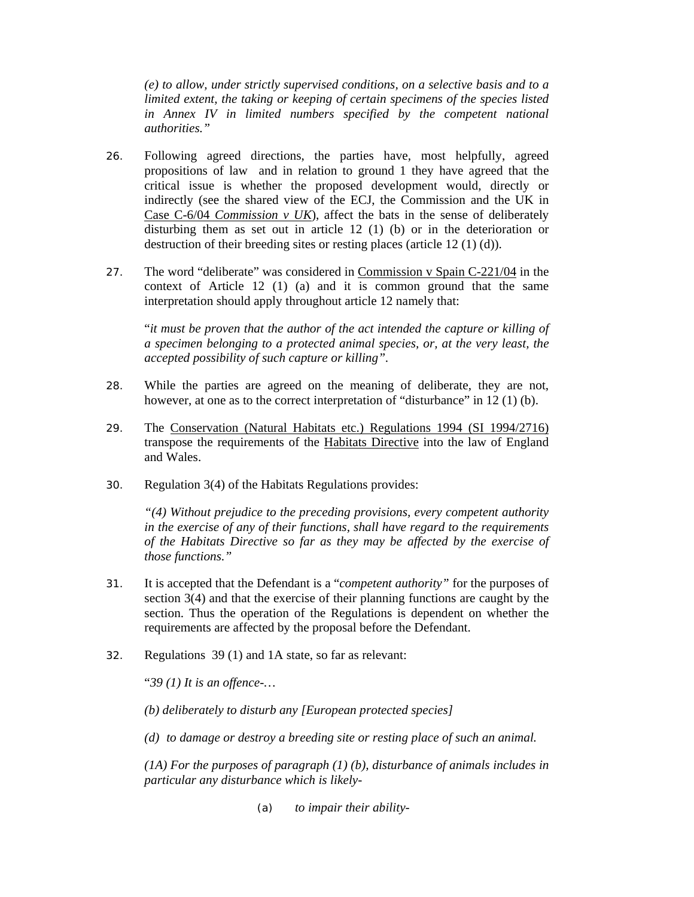*(e) to allow, under strictly supervised conditions, on a selective basis and to a limited extent, the taking or keeping of certain specimens of the species listed in Annex IV in limited numbers specified by the competent national authorities."*

- 26. Following agreed directions, the parties have, most helpfully, agreed propositions of law and in relation to ground 1 they have agreed that the critical issue is whether the proposed development would, directly or indirectly (see the shared view of the ECJ, the Commission and the UK in Case C-6/04 *Commission v UK*), affect the bats in the sense of deliberately disturbing them as set out in article 12 (1) (b) or in the deterioration or destruction of their breeding sites or resting places (article 12 (1) (d)).
- 27. The word "deliberate" was considered in Commission v Spain C-221/04 in the context of Article 12 (1) (a) and it is common ground that the same interpretation should apply throughout article 12 namely that:

"*it must be proven that the author of the act intended the capture or killing of a specimen belonging to a protected animal species, or, at the very least, the accepted possibility of such capture or killing".* 

- 28. While the parties are agreed on the meaning of deliberate, they are not, however, at one as to the correct interpretation of "disturbance" in 12 (1) (b).
- 29. The Conservation (Natural Habitats etc.) Regulations 1994 (SI 1994/2716) transpose the requirements of the Habitats Directive into the law of England and Wales.
- 30. Regulation 3(4) of the Habitats Regulations provides:

*"(4) Without prejudice to the preceding provisions, every competent authority in the exercise of any of their functions, shall have regard to the requirements of the Habitats Directive so far as they may be affected by the exercise of those functions."* 

- 31. It is accepted that the Defendant is a "*competent authority"* for the purposes of section 3(4) and that the exercise of their planning functions are caught by the section. Thus the operation of the Regulations is dependent on whether the requirements are affected by the proposal before the Defendant.
- 32. Regulations 39 (1) and 1A state, so far as relevant:

"*39 (1) It is an offence-…* 

*(b) deliberately to disturb any [European protected species]* 

*(d) to damage or destroy a breeding site or resting place of such an animal.* 

*(1A) For the purposes of paragraph (1) (b), disturbance of animals includes in particular any disturbance which is likely-* 

*(a) to impair their ability-*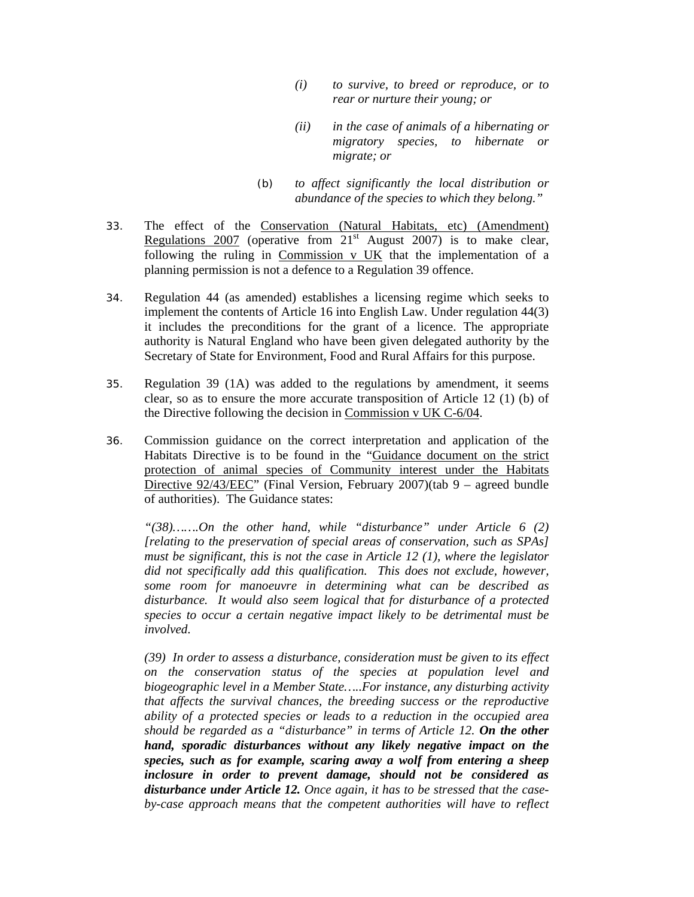- *(i) to survive, to breed or reproduce, or to rear or nurture their young; or*
- *(ii) in the case of animals of a hibernating or migratory species, to hibernate or migrate; or*
- *(b) to affect significantly the local distribution or abundance of the species to which they belong."*
- 33. The effect of the Conservation (Natural Habitats, etc) (Amendment) Regulations 2007 (operative from  $21<sup>st</sup>$  August 2007) is to make clear, following the ruling in Commission v UK that the implementation of a planning permission is not a defence to a Regulation 39 offence.
- 34. Regulation 44 (as amended) establishes a licensing regime which seeks to implement the contents of Article 16 into English Law. Under regulation 44(3) it includes the preconditions for the grant of a licence. The appropriate authority is Natural England who have been given delegated authority by the Secretary of State for Environment, Food and Rural Affairs for this purpose.
- 35. Regulation 39 (1A) was added to the regulations by amendment, it seems clear, so as to ensure the more accurate transposition of Article 12 (1) (b) of the Directive following the decision in Commission v UK C-6/04.
- 36. Commission guidance on the correct interpretation and application of the Habitats Directive is to be found in the "Guidance document on the strict protection of animal species of Community interest under the Habitats Directive 92/43/EEC" (Final Version, February 2007)(tab 9 – agreed bundle of authorities). The Guidance states:

*"(38)…….On the other hand, while "disturbance" under Article 6 (2) [relating to the preservation of special areas of conservation, such as SPAs] must be significant, this is not the case in Article 12 (1), where the legislator did not specifically add this qualification. This does not exclude, however, some room for manoeuvre in determining what can be described as disturbance. It would also seem logical that for disturbance of a protected species to occur a certain negative impact likely to be detrimental must be involved.* 

*(39) In order to assess a disturbance, consideration must be given to its effect on the conservation status of the species at population level and biogeographic level in a Member State…..For instance, any disturbing activity that affects the survival chances, the breeding success or the reproductive ability of a protected species or leads to a reduction in the occupied area should be regarded as a "disturbance" in terms of Article 12. On the other hand, sporadic disturbances without any likely negative impact on the species, such as for example, scaring away a wolf from entering a sheep inclosure in order to prevent damage, should not be considered as disturbance under Article 12. Once again, it has to be stressed that the caseby-case approach means that the competent authorities will have to reflect*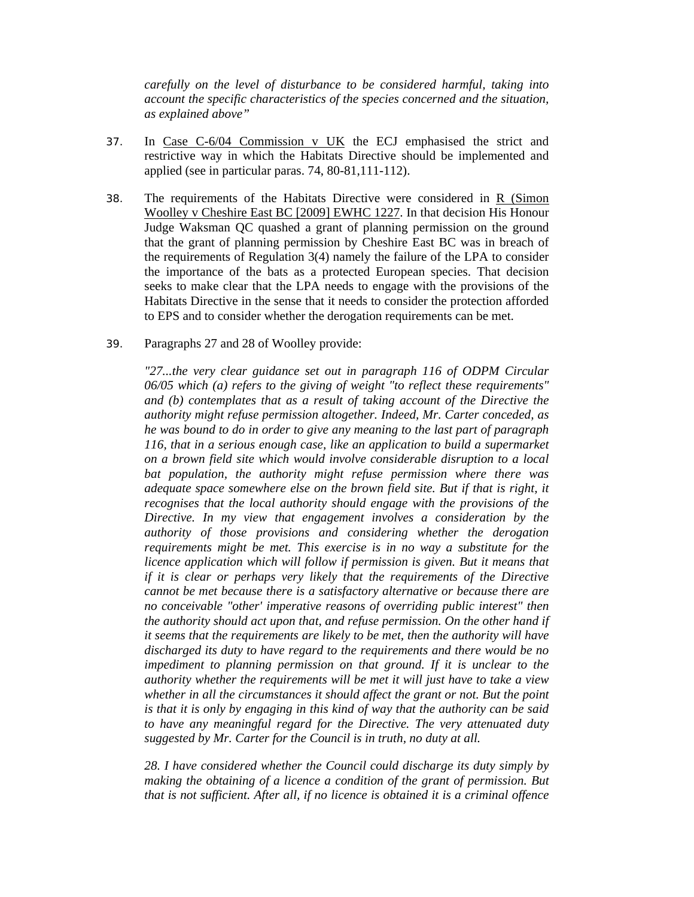*carefully on the level of disturbance to be considered harmful, taking into account the specific characteristics of the species concerned and the situation, as explained above"* 

- 37. In Case C-6/04 Commission v UK the ECJ emphasised the strict and restrictive way in which the Habitats Directive should be implemented and applied (see in particular paras. 74, 80-81,111-112).
- 38. The requirements of the Habitats Directive were considered in R (Simon Woolley v Cheshire East BC [2009] EWHC 1227. In that decision His Honour Judge Waksman QC quashed a grant of planning permission on the ground that the grant of planning permission by Cheshire East BC was in breach of the requirements of Regulation  $3(4)$  namely the failure of the LPA to consider the importance of the bats as a protected European species. That decision seeks to make clear that the LPA needs to engage with the provisions of the Habitats Directive in the sense that it needs to consider the protection afforded to EPS and to consider whether the derogation requirements can be met.
- 39. Paragraphs 27 and 28 of Woolley provide:

*"27...the very clear guidance set out in paragraph 116 of ODPM Circular 06/05 which (a) refers to the giving of weight "to reflect these requirements" and (b) contemplates that as a result of taking account of the Directive the authority might refuse permission altogether. Indeed, Mr. Carter conceded, as he was bound to do in order to give any meaning to the last part of paragraph 116, that in a serious enough case, like an application to build a supermarket on a brown field site which would involve considerable disruption to a local bat population, the authority might refuse permission where there was adequate space somewhere else on the brown field site. But if that is right, it recognises that the local authority should engage with the provisions of the Directive. In my view that engagement involves a consideration by the authority of those provisions and considering whether the derogation requirements might be met. This exercise is in no way a substitute for the licence application which will follow if permission is given. But it means that if it is clear or perhaps very likely that the requirements of the Directive cannot be met because there is a satisfactory alternative or because there are no conceivable "other' imperative reasons of overriding public interest" then the authority should act upon that, and refuse permission. On the other hand if it seems that the requirements are likely to be met, then the authority will have discharged its duty to have regard to the requirements and there would be no impediment to planning permission on that ground. If it is unclear to the authority whether the requirements will be met it will just have to take a view whether in all the circumstances it should affect the grant or not. But the point is that it is only by engaging in this kind of way that the authority can be said to have any meaningful regard for the Directive. The very attenuated duty suggested by Mr. Carter for the Council is in truth, no duty at all.* 

*28. I have considered whether the Council could discharge its duty simply by making the obtaining of a licence a condition of the grant of permission. But that is not sufficient. After all, if no licence is obtained it is a criminal offence*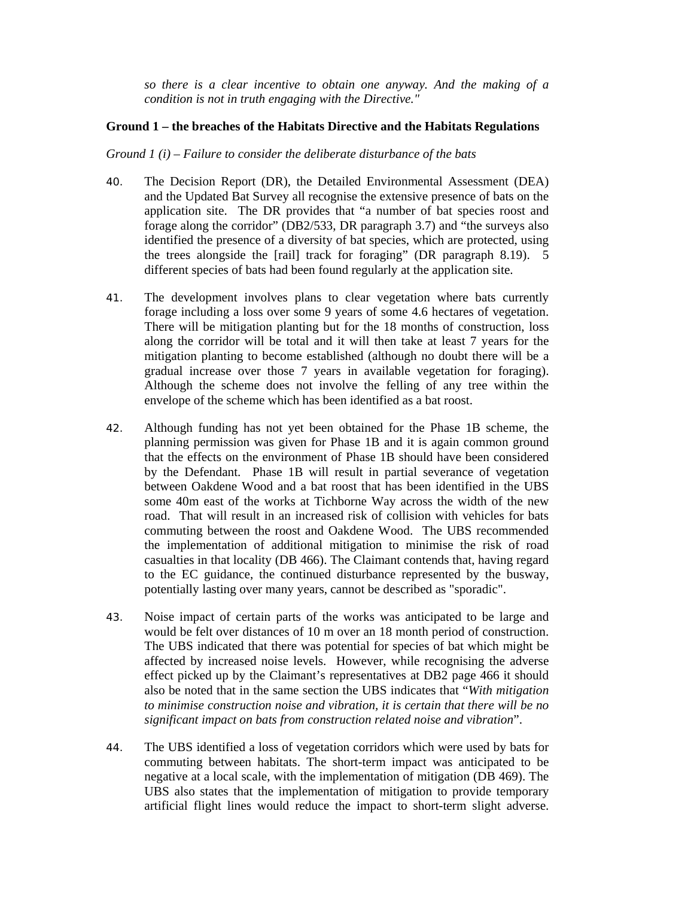*so there is a clear incentive to obtain one anyway. And the making of a condition is not in truth engaging with the Directive."* 

### **Ground 1 – the breaches of the Habitats Directive and the Habitats Regulations**

#### *Ground 1 (i) – Failure to consider the deliberate disturbance of the bats*

- 40. The Decision Report (DR), the Detailed Environmental Assessment (DEA) and the Updated Bat Survey all recognise the extensive presence of bats on the application site. The DR provides that "a number of bat species roost and forage along the corridor" (DB2/533, DR paragraph 3.7) and "the surveys also identified the presence of a diversity of bat species, which are protected, using the trees alongside the [rail] track for foraging" (DR paragraph 8.19). 5 different species of bats had been found regularly at the application site.
- 41. The development involves plans to clear vegetation where bats currently forage including a loss over some 9 years of some 4.6 hectares of vegetation. There will be mitigation planting but for the 18 months of construction, loss along the corridor will be total and it will then take at least 7 years for the mitigation planting to become established (although no doubt there will be a gradual increase over those 7 years in available vegetation for foraging). Although the scheme does not involve the felling of any tree within the envelope of the scheme which has been identified as a bat roost.
- 42. Although funding has not yet been obtained for the Phase 1B scheme, the planning permission was given for Phase 1B and it is again common ground that the effects on the environment of Phase 1B should have been considered by the Defendant. Phase 1B will result in partial severance of vegetation between Oakdene Wood and a bat roost that has been identified in the UBS some 40m east of the works at Tichborne Way across the width of the new road. That will result in an increased risk of collision with vehicles for bats commuting between the roost and Oakdene Wood. The UBS recommended the implementation of additional mitigation to minimise the risk of road casualties in that locality (DB 466). The Claimant contends that, having regard to the EC guidance, the continued disturbance represented by the busway, potentially lasting over many years, cannot be described as "sporadic".
- 43. Noise impact of certain parts of the works was anticipated to be large and would be felt over distances of 10 m over an 18 month period of construction. The UBS indicated that there was potential for species of bat which might be affected by increased noise levels. However, while recognising the adverse effect picked up by the Claimant's representatives at DB2 page 466 it should also be noted that in the same section the UBS indicates that "*With mitigation to minimise construction noise and vibration, it is certain that there will be no significant impact on bats from construction related noise and vibration*".
- 44. The UBS identified a loss of vegetation corridors which were used by bats for commuting between habitats. The short-term impact was anticipated to be negative at a local scale, with the implementation of mitigation (DB 469). The UBS also states that the implementation of mitigation to provide temporary artificial flight lines would reduce the impact to short-term slight adverse.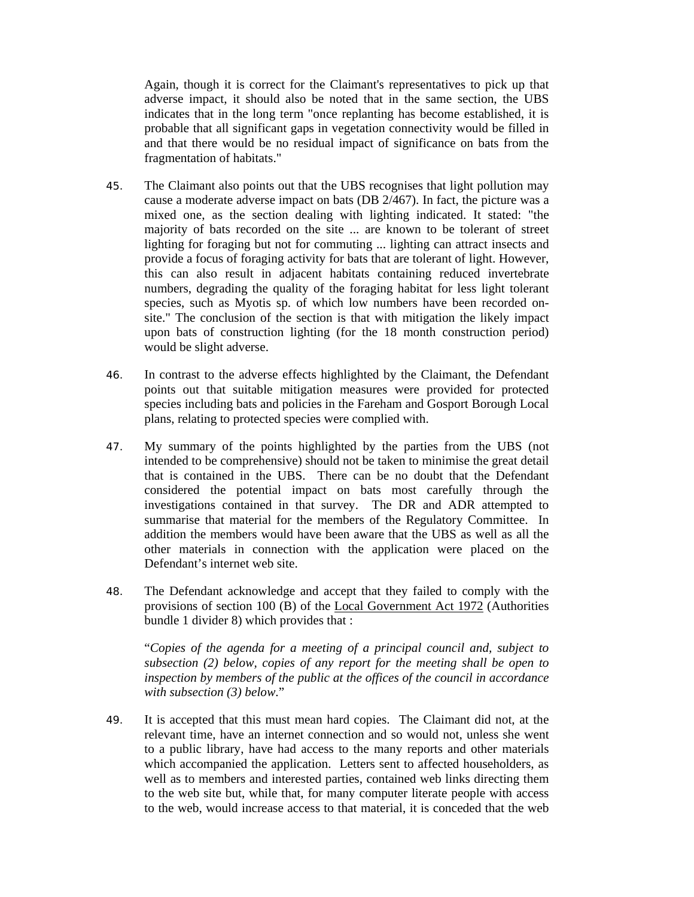Again, though it is correct for the Claimant's representatives to pick up that adverse impact, it should also be noted that in the same section, the UBS indicates that in the long term "once replanting has become established, it is probable that all significant gaps in vegetation connectivity would be filled in and that there would be no residual impact of significance on bats from the fragmentation of habitats."

- 45. The Claimant also points out that the UBS recognises that light pollution may cause a moderate adverse impact on bats (DB 2/467). In fact, the picture was a mixed one, as the section dealing with lighting indicated. It stated: "the majority of bats recorded on the site ... are known to be tolerant of street lighting for foraging but not for commuting ... lighting can attract insects and provide a focus of foraging activity for bats that are tolerant of light. However, this can also result in adjacent habitats containing reduced invertebrate numbers, degrading the quality of the foraging habitat for less light tolerant species, such as Myotis sp. of which low numbers have been recorded onsite." The conclusion of the section is that with mitigation the likely impact upon bats of construction lighting (for the 18 month construction period) would be slight adverse.
- 46. In contrast to the adverse effects highlighted by the Claimant, the Defendant points out that suitable mitigation measures were provided for protected species including bats and policies in the Fareham and Gosport Borough Local plans, relating to protected species were complied with.
- 47. My summary of the points highlighted by the parties from the UBS (not intended to be comprehensive) should not be taken to minimise the great detail that is contained in the UBS. There can be no doubt that the Defendant considered the potential impact on bats most carefully through the investigations contained in that survey. The DR and ADR attempted to summarise that material for the members of the Regulatory Committee. In addition the members would have been aware that the UBS as well as all the other materials in connection with the application were placed on the Defendant's internet web site.
- 48. The Defendant acknowledge and accept that they failed to comply with the provisions of section 100 (B) of the Local Government Act 1972 (Authorities bundle 1 divider 8) which provides that :

"*Copies of the agenda for a meeting of a principal council and, subject to subsection (2) below, copies of any report for the meeting shall be open to inspection by members of the public at the offices of the council in accordance with subsection (3) below*."

49. It is accepted that this must mean hard copies. The Claimant did not, at the relevant time, have an internet connection and so would not, unless she went to a public library, have had access to the many reports and other materials which accompanied the application. Letters sent to affected householders, as well as to members and interested parties, contained web links directing them to the web site but, while that, for many computer literate people with access to the web, would increase access to that material, it is conceded that the web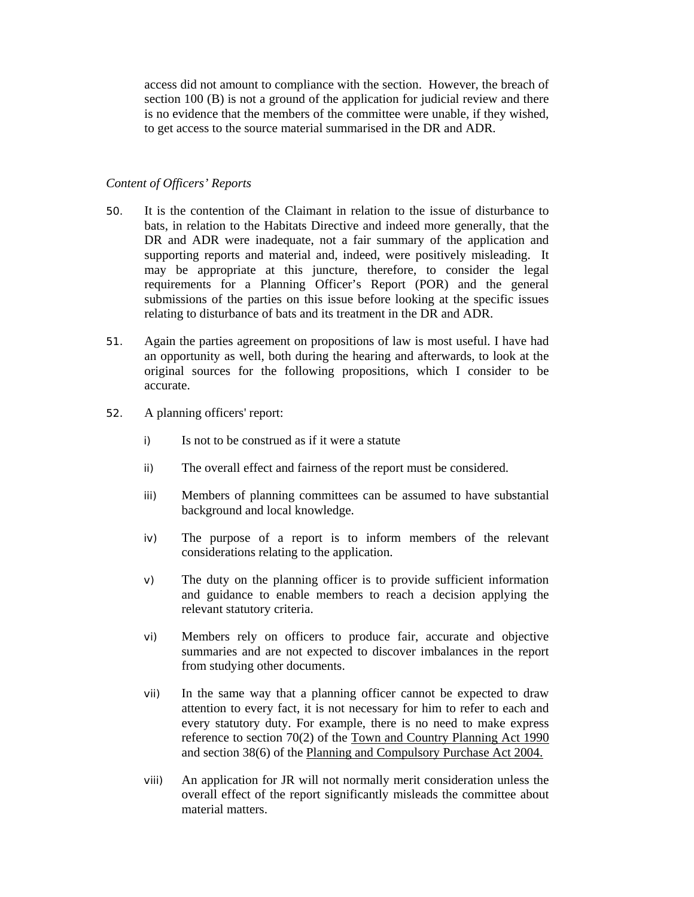access did not amount to compliance with the section. However, the breach of section 100 (B) is not a ground of the application for judicial review and there is no evidence that the members of the committee were unable, if they wished, to get access to the source material summarised in the DR and ADR.

### *Content of Officers' Reports*

- 50. It is the contention of the Claimant in relation to the issue of disturbance to bats, in relation to the Habitats Directive and indeed more generally, that the DR and ADR were inadequate, not a fair summary of the application and supporting reports and material and, indeed, were positively misleading. It may be appropriate at this juncture, therefore, to consider the legal requirements for a Planning Officer's Report (POR) and the general submissions of the parties on this issue before looking at the specific issues relating to disturbance of bats and its treatment in the DR and ADR.
- 51. Again the parties agreement on propositions of law is most useful. I have had an opportunity as well, both during the hearing and afterwards, to look at the original sources for the following propositions, which I consider to be accurate.
- 52. A planning officers' report:
	- i) Is not to be construed as if it were a statute
	- ii) The overall effect and fairness of the report must be considered.
	- iii) Members of planning committees can be assumed to have substantial background and local knowledge.
	- iv) The purpose of a report is to inform members of the relevant considerations relating to the application.
	- v) The duty on the planning officer is to provide sufficient information and guidance to enable members to reach a decision applying the relevant statutory criteria.
	- vi) Members rely on officers to produce fair, accurate and objective summaries and are not expected to discover imbalances in the report from studying other documents.
	- vii) In the same way that a planning officer cannot be expected to draw attention to every fact, it is not necessary for him to refer to each and every statutory duty. For example, there is no need to make express reference to section 70(2) of the Town and Country Planning Act 1990 and section 38(6) of the Planning and Compulsory Purchase Act 2004.
	- viii) An application for JR will not normally merit consideration unless the overall effect of the report significantly misleads the committee about material matters.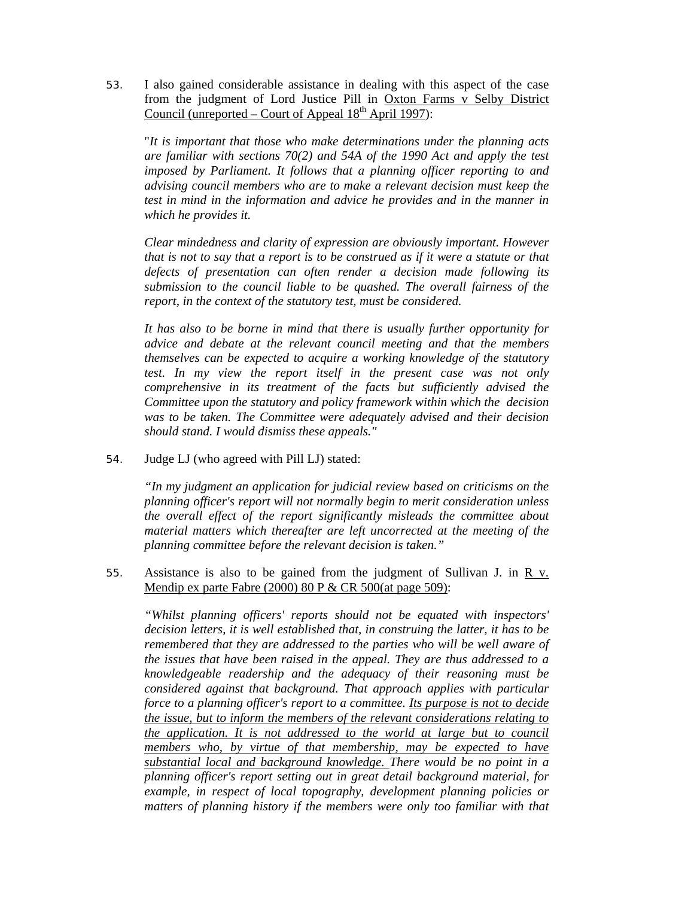53. I also gained considerable assistance in dealing with this aspect of the case from the judgment of Lord Justice Pill in Oxton Farms v Selby District Council (unreported – Court of Appeal  $18<sup>th</sup>$  April 1997):

"*It is important that those who make determinations under the planning acts are familiar with sections 70(2) and 54A of the 1990 Act and apply the test imposed by Parliament. It follows that a planning officer reporting to and advising council members who are to make a relevant decision must keep the test in mind in the information and advice he provides and in the manner in which he provides it.* 

*Clear mindedness and clarity of expression are obviously important. However that is not to say that a report is to be construed as if it were a statute or that defects of presentation can often render a decision made following its submission to the council liable to be quashed. The overall fairness of the report, in the context of the statutory test, must be considered.* 

*It has also to be borne in mind that there is usually further opportunity for advice and debate at the relevant council meeting and that the members themselves can be expected to acquire a working knowledge of the statutory test. In my view the report itself in the present case was not only comprehensive in its treatment of the facts but sufficiently advised the Committee upon the statutory and policy framework within which the decision was to be taken. The Committee were adequately advised and their decision should stand. I would dismiss these appeals."* 

54. Judge LJ (who agreed with Pill LJ) stated:

*"In my judgment an application for judicial review based on criticisms on the planning officer's report will not normally begin to merit consideration unless the overall effect of the report significantly misleads the committee about material matters which thereafter are left uncorrected at the meeting of the planning committee before the relevant decision is taken."* 

55. Assistance is also to be gained from the judgment of Sullivan J. in  $\overline{R}$  v. Mendip ex parte Fabre (2000) 80 P & CR 500(at page 509):

*"Whilst planning officers' reports should not be equated with inspectors' decision letters, it is well established that, in construing the latter, it has to be remembered that they are addressed to the parties who will be well aware of the issues that have been raised in the appeal. They are thus addressed to a knowledgeable readership and the adequacy of their reasoning must be considered against that background. That approach applies with particular force to a planning officer's report to a committee. Its purpose is not to decide the issue, but to inform the members of the relevant considerations relating to the application. It is not addressed to the world at large but to council members who, by virtue of that membership, may be expected to have substantial local and background knowledge. There would be no point in a planning officer's report setting out in great detail background material, for example, in respect of local topography, development planning policies or matters of planning history if the members were only too familiar with that*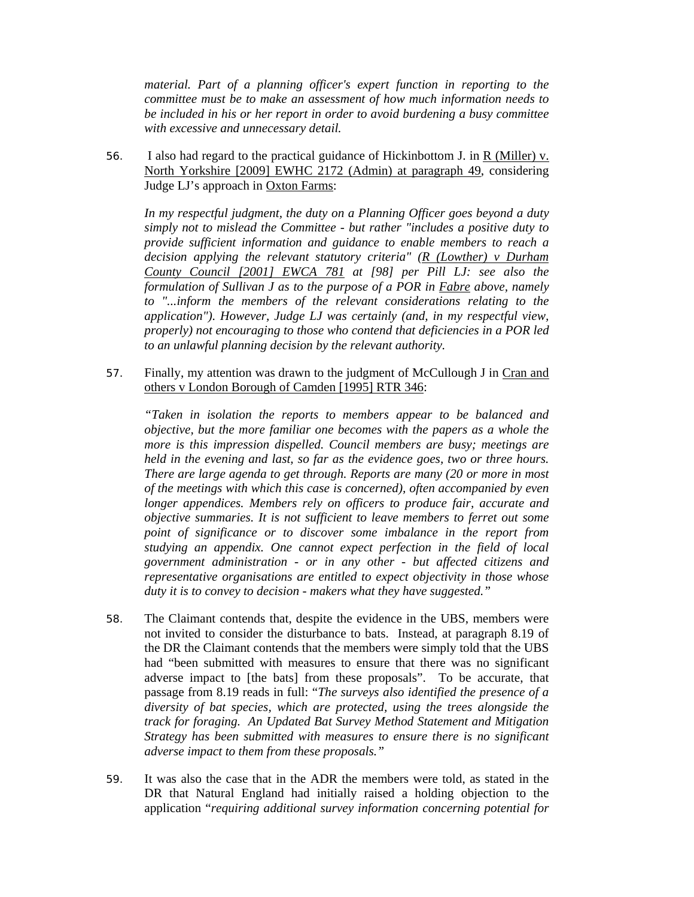*material. Part of a planning officer's expert function in reporting to the committee must be to make an assessment of how much information needs to be included in his or her report in order to avoid burdening a busy committee with excessive and unnecessary detail.* 

56. I also had regard to the practical guidance of Hickinbottom J. in R (Miller) v. North Yorkshire [2009] EWHC 2172 (Admin) at paragraph 49, considering Judge LJ's approach in Oxton Farms:

*In my respectful judgment, the duty on a Planning Officer goes beyond a duty simply not to mislead the Committee - but rather "includes a positive duty to provide sufficient information and guidance to enable members to reach a decision applying the relevant statutory criteria" (R (Lowther) v Durham County Council [2001] EWCA 781 at [98] per Pill LJ: see also the formulation of Sullivan J as to the purpose of a POR in Fabre above, namely to "...inform the members of the relevant considerations relating to the application"). However, Judge LJ was certainly (and, in my respectful view, properly) not encouraging to those who contend that deficiencies in a POR led to an unlawful planning decision by the relevant authority.* 

57. Finally, my attention was drawn to the judgment of McCullough J in Cran and others v London Borough of Camden [1995] RTR 346:

*"Taken in isolation the reports to members appear to be balanced and objective, but the more familiar one becomes with the papers as a whole the more is this impression dispelled. Council members are busy; meetings are held in the evening and last, so far as the evidence goes, two or three hours. There are large agenda to get through. Reports are many (20 or more in most of the meetings with which this case is concerned), often accompanied by even longer appendices. Members rely on officers to produce fair, accurate and objective summaries. It is not sufficient to leave members to ferret out some point of significance or to discover some imbalance in the report from studying an appendix. One cannot expect perfection in the field of local government administration - or in any other - but affected citizens and representative organisations are entitled to expect objectivity in those whose duty it is to convey to decision - makers what they have suggested."* 

- 58. The Claimant contends that, despite the evidence in the UBS, members were not invited to consider the disturbance to bats. Instead, at paragraph 8.19 of the DR the Claimant contends that the members were simply told that the UBS had "been submitted with measures to ensure that there was no significant adverse impact to [the bats] from these proposals". To be accurate, that passage from 8.19 reads in full: "*The surveys also identified the presence of a diversity of bat species, which are protected, using the trees alongside the track for foraging. An Updated Bat Survey Method Statement and Mitigation Strategy has been submitted with measures to ensure there is no significant adverse impact to them from these proposals."*
- 59. It was also the case that in the ADR the members were told, as stated in the DR that Natural England had initially raised a holding objection to the application "*requiring additional survey information concerning potential for*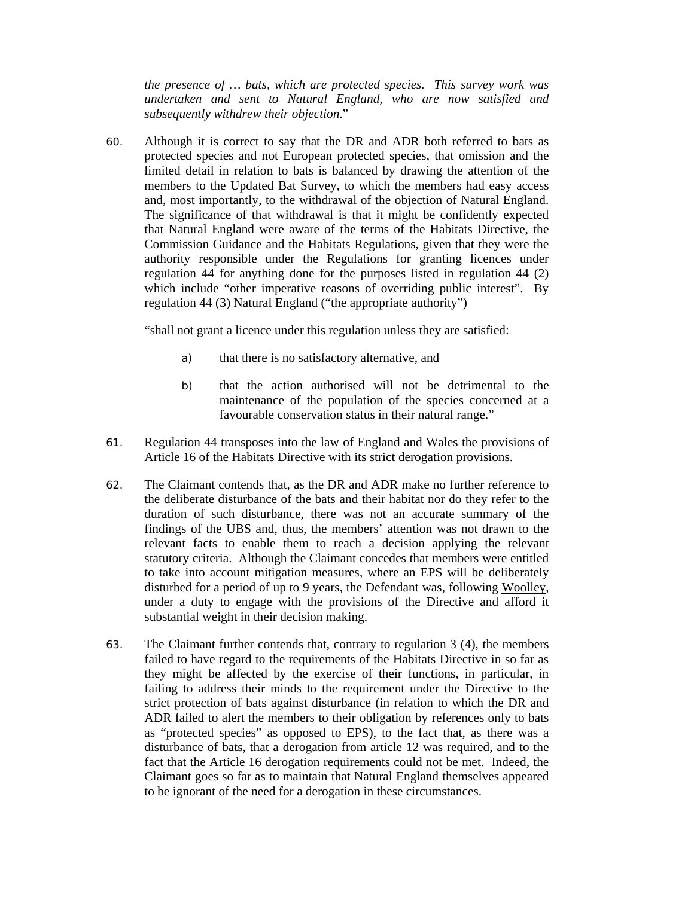*the presence of … bats, which are protected species. This survey work was undertaken and sent to Natural England, who are now satisfied and subsequently withdrew their objection*."

60. Although it is correct to say that the DR and ADR both referred to bats as protected species and not European protected species, that omission and the limited detail in relation to bats is balanced by drawing the attention of the members to the Updated Bat Survey, to which the members had easy access and, most importantly, to the withdrawal of the objection of Natural England. The significance of that withdrawal is that it might be confidently expected that Natural England were aware of the terms of the Habitats Directive, the Commission Guidance and the Habitats Regulations, given that they were the authority responsible under the Regulations for granting licences under regulation 44 for anything done for the purposes listed in regulation 44 (2) which include "other imperative reasons of overriding public interest". By regulation 44 (3) Natural England ("the appropriate authority")

"shall not grant a licence under this regulation unless they are satisfied:

- a) that there is no satisfactory alternative, and
- b) that the action authorised will not be detrimental to the maintenance of the population of the species concerned at a favourable conservation status in their natural range."
- 61. Regulation 44 transposes into the law of England and Wales the provisions of Article 16 of the Habitats Directive with its strict derogation provisions.
- 62. The Claimant contends that, as the DR and ADR make no further reference to the deliberate disturbance of the bats and their habitat nor do they refer to the duration of such disturbance, there was not an accurate summary of the findings of the UBS and, thus, the members' attention was not drawn to the relevant facts to enable them to reach a decision applying the relevant statutory criteria. Although the Claimant concedes that members were entitled to take into account mitigation measures, where an EPS will be deliberately disturbed for a period of up to 9 years, the Defendant was, following Woolley, under a duty to engage with the provisions of the Directive and afford it substantial weight in their decision making.
- 63. The Claimant further contends that, contrary to regulation 3 (4), the members failed to have regard to the requirements of the Habitats Directive in so far as they might be affected by the exercise of their functions, in particular, in failing to address their minds to the requirement under the Directive to the strict protection of bats against disturbance (in relation to which the DR and ADR failed to alert the members to their obligation by references only to bats as "protected species" as opposed to EPS), to the fact that, as there was a disturbance of bats, that a derogation from article 12 was required, and to the fact that the Article 16 derogation requirements could not be met. Indeed, the Claimant goes so far as to maintain that Natural England themselves appeared to be ignorant of the need for a derogation in these circumstances.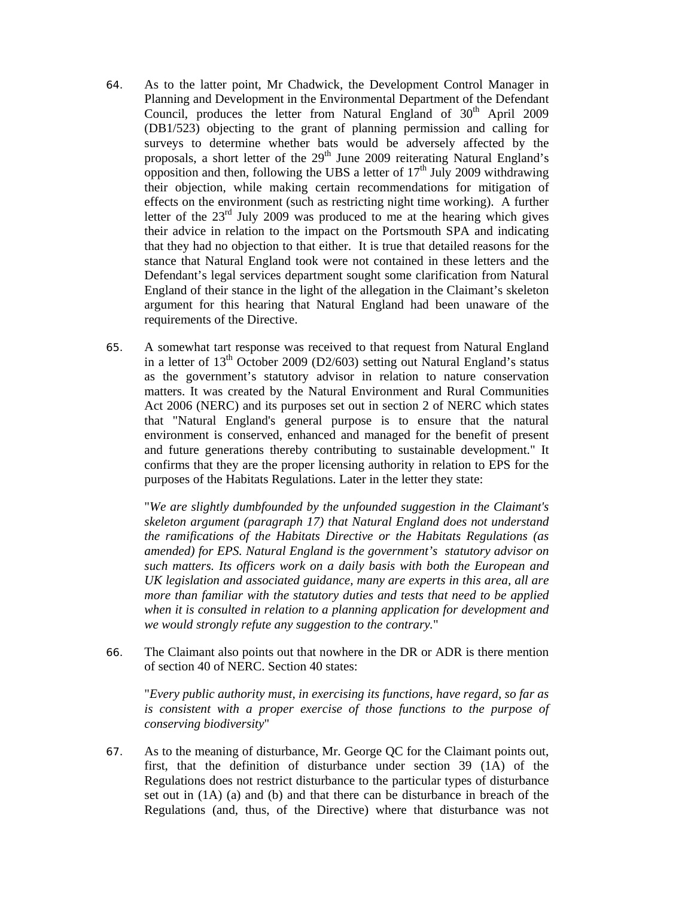- 64. As to the latter point, Mr Chadwick, the Development Control Manager in Planning and Development in the Environmental Department of the Defendant Council, produces the letter from Natural England of  $30<sup>th</sup>$  April 2009 (DB1/523) objecting to the grant of planning permission and calling for surveys to determine whether bats would be adversely affected by the proposals, a short letter of the  $29<sup>th</sup>$  June 2009 reiterating Natural England's opposition and then, following the UBS a letter of  $17<sup>th</sup>$  July 2009 withdrawing their objection, while making certain recommendations for mitigation of effects on the environment (such as restricting night time working). A further letter of the  $23<sup>rd</sup>$  July 2009 was produced to me at the hearing which gives their advice in relation to the impact on the Portsmouth SPA and indicating that they had no objection to that either. It is true that detailed reasons for the stance that Natural England took were not contained in these letters and the Defendant's legal services department sought some clarification from Natural England of their stance in the light of the allegation in the Claimant's skeleton argument for this hearing that Natural England had been unaware of the requirements of the Directive.
- 65. A somewhat tart response was received to that request from Natural England in a letter of  $13<sup>th</sup>$  October 2009 (D2/603) setting out Natural England's status as the government's statutory advisor in relation to nature conservation matters. It was created by the Natural Environment and Rural Communities Act 2006 (NERC) and its purposes set out in section 2 of NERC which states that "Natural England's general purpose is to ensure that the natural environment is conserved, enhanced and managed for the benefit of present and future generations thereby contributing to sustainable development." It confirms that they are the proper licensing authority in relation to EPS for the purposes of the Habitats Regulations. Later in the letter they state:

"*We are slightly dumbfounded by the unfounded suggestion in the Claimant's skeleton argument (paragraph 17) that Natural England does not understand the ramifications of the Habitats Directive or the Habitats Regulations (as amended) for EPS. Natural England is the government's statutory advisor on such matters. Its officers work on a daily basis with both the European and UK legislation and associated guidance, many are experts in this area, all are more than familiar with the statutory duties and tests that need to be applied when it is consulted in relation to a planning application for development and we would strongly refute any suggestion to the contrary.*"

66. The Claimant also points out that nowhere in the DR or ADR is there mention of section 40 of NERC. Section 40 states:

"*Every public authority must, in exercising its functions, have regard, so far as is consistent with a proper exercise of those functions to the purpose of conserving biodiversity*"

67. As to the meaning of disturbance, Mr. George QC for the Claimant points out, first, that the definition of disturbance under section 39 (1A) of the Regulations does not restrict disturbance to the particular types of disturbance set out in (1A) (a) and (b) and that there can be disturbance in breach of the Regulations (and, thus, of the Directive) where that disturbance was not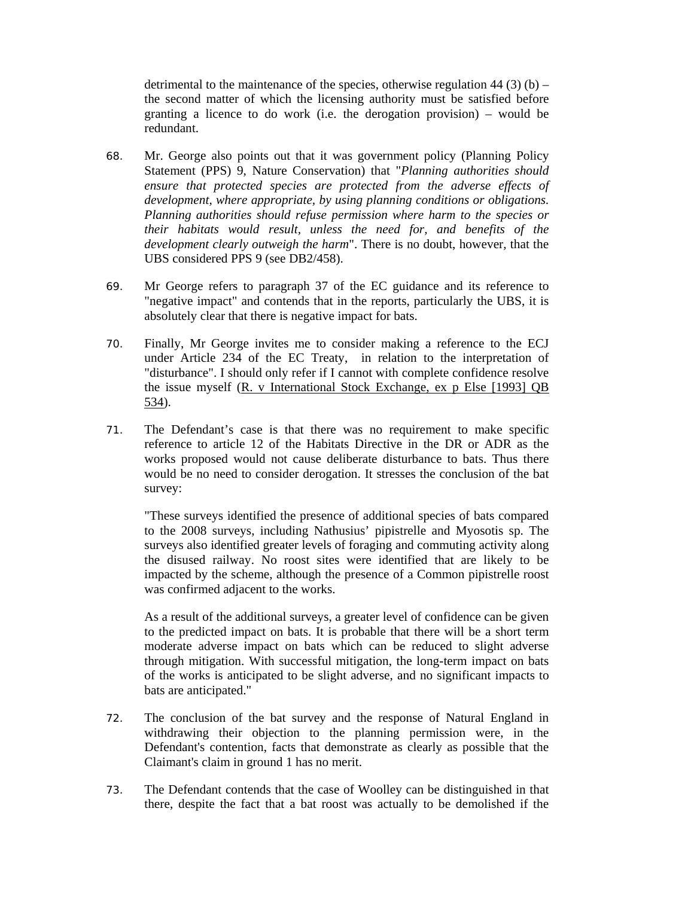detrimental to the maintenance of the species, otherwise regulation  $44$  (3) (b) – the second matter of which the licensing authority must be satisfied before granting a licence to do work (i.e. the derogation provision) – would be redundant.

- 68. Mr. George also points out that it was government policy (Planning Policy Statement (PPS) 9, Nature Conservation) that "*Planning authorities should ensure that protected species are protected from the adverse effects of development, where appropriate, by using planning conditions or obligations. Planning authorities should refuse permission where harm to the species or their habitats would result, unless the need for, and benefits of the development clearly outweigh the harm*". There is no doubt, however, that the UBS considered PPS 9 (see DB2/458).
- 69. Mr George refers to paragraph 37 of the EC guidance and its reference to "negative impact" and contends that in the reports, particularly the UBS, it is absolutely clear that there is negative impact for bats.
- 70. Finally, Mr George invites me to consider making a reference to the ECJ under Article 234 of the EC Treaty, in relation to the interpretation of "disturbance". I should only refer if I cannot with complete confidence resolve the issue myself (R. v International Stock Exchange, ex p Else [1993] QB 534).
- 71. The Defendant's case is that there was no requirement to make specific reference to article 12 of the Habitats Directive in the DR or ADR as the works proposed would not cause deliberate disturbance to bats. Thus there would be no need to consider derogation. It stresses the conclusion of the bat survey:

"These surveys identified the presence of additional species of bats compared to the 2008 surveys, including Nathusius' pipistrelle and Myosotis sp. The surveys also identified greater levels of foraging and commuting activity along the disused railway. No roost sites were identified that are likely to be impacted by the scheme, although the presence of a Common pipistrelle roost was confirmed adjacent to the works.

As a result of the additional surveys, a greater level of confidence can be given to the predicted impact on bats. It is probable that there will be a short term moderate adverse impact on bats which can be reduced to slight adverse through mitigation. With successful mitigation, the long-term impact on bats of the works is anticipated to be slight adverse, and no significant impacts to bats are anticipated."

- 72. The conclusion of the bat survey and the response of Natural England in withdrawing their objection to the planning permission were, in the Defendant's contention, facts that demonstrate as clearly as possible that the Claimant's claim in ground 1 has no merit.
- 73. The Defendant contends that the case of Woolley can be distinguished in that there, despite the fact that a bat roost was actually to be demolished if the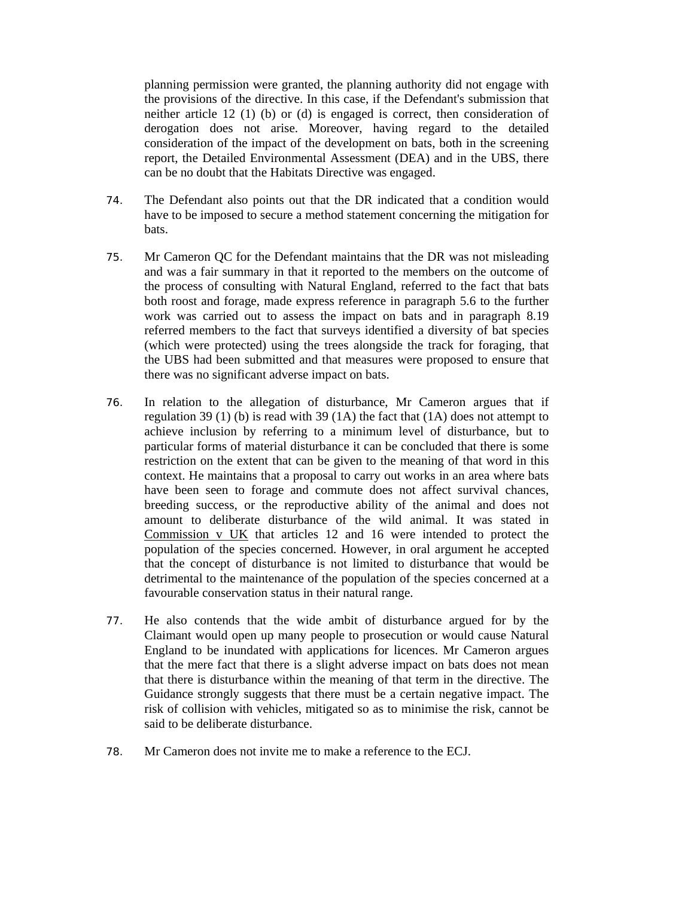planning permission were granted, the planning authority did not engage with the provisions of the directive. In this case, if the Defendant's submission that neither article 12 (1) (b) or (d) is engaged is correct, then consideration of derogation does not arise. Moreover, having regard to the detailed consideration of the impact of the development on bats, both in the screening report, the Detailed Environmental Assessment (DEA) and in the UBS, there can be no doubt that the Habitats Directive was engaged.

- 74. The Defendant also points out that the DR indicated that a condition would have to be imposed to secure a method statement concerning the mitigation for bats.
- 75. Mr Cameron QC for the Defendant maintains that the DR was not misleading and was a fair summary in that it reported to the members on the outcome of the process of consulting with Natural England, referred to the fact that bats both roost and forage, made express reference in paragraph 5.6 to the further work was carried out to assess the impact on bats and in paragraph 8.19 referred members to the fact that surveys identified a diversity of bat species (which were protected) using the trees alongside the track for foraging, that the UBS had been submitted and that measures were proposed to ensure that there was no significant adverse impact on bats.
- 76. In relation to the allegation of disturbance, Mr Cameron argues that if regulation 39 (1) (b) is read with 39 (1A) the fact that (1A) does not attempt to achieve inclusion by referring to a minimum level of disturbance, but to particular forms of material disturbance it can be concluded that there is some restriction on the extent that can be given to the meaning of that word in this context. He maintains that a proposal to carry out works in an area where bats have been seen to forage and commute does not affect survival chances, breeding success, or the reproductive ability of the animal and does not amount to deliberate disturbance of the wild animal. It was stated in Commission v UK that articles 12 and 16 were intended to protect the population of the species concerned. However, in oral argument he accepted that the concept of disturbance is not limited to disturbance that would be detrimental to the maintenance of the population of the species concerned at a favourable conservation status in their natural range.
- 77. He also contends that the wide ambit of disturbance argued for by the Claimant would open up many people to prosecution or would cause Natural England to be inundated with applications for licences. Mr Cameron argues that the mere fact that there is a slight adverse impact on bats does not mean that there is disturbance within the meaning of that term in the directive. The Guidance strongly suggests that there must be a certain negative impact. The risk of collision with vehicles, mitigated so as to minimise the risk, cannot be said to be deliberate disturbance.
- 78. Mr Cameron does not invite me to make a reference to the ECJ.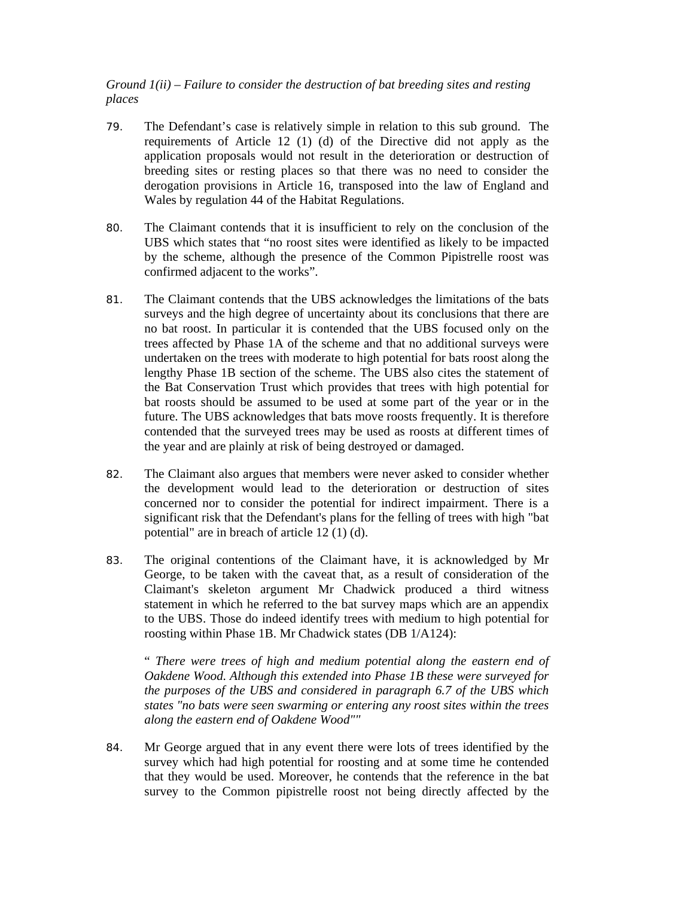# *Ground 1(ii) – Failure to consider the destruction of bat breeding sites and resting places*

- 79. The Defendant's case is relatively simple in relation to this sub ground. The requirements of Article 12 (1) (d) of the Directive did not apply as the application proposals would not result in the deterioration or destruction of breeding sites or resting places so that there was no need to consider the derogation provisions in Article 16, transposed into the law of England and Wales by regulation 44 of the Habitat Regulations.
- 80. The Claimant contends that it is insufficient to rely on the conclusion of the UBS which states that "no roost sites were identified as likely to be impacted by the scheme, although the presence of the Common Pipistrelle roost was confirmed adjacent to the works".
- 81. The Claimant contends that the UBS acknowledges the limitations of the bats surveys and the high degree of uncertainty about its conclusions that there are no bat roost. In particular it is contended that the UBS focused only on the trees affected by Phase 1A of the scheme and that no additional surveys were undertaken on the trees with moderate to high potential for bats roost along the lengthy Phase 1B section of the scheme. The UBS also cites the statement of the Bat Conservation Trust which provides that trees with high potential for bat roosts should be assumed to be used at some part of the year or in the future. The UBS acknowledges that bats move roosts frequently. It is therefore contended that the surveyed trees may be used as roosts at different times of the year and are plainly at risk of being destroyed or damaged.
- 82. The Claimant also argues that members were never asked to consider whether the development would lead to the deterioration or destruction of sites concerned nor to consider the potential for indirect impairment. There is a significant risk that the Defendant's plans for the felling of trees with high "bat potential" are in breach of article 12 (1) (d).
- 83. The original contentions of the Claimant have, it is acknowledged by Mr George, to be taken with the caveat that, as a result of consideration of the Claimant's skeleton argument Mr Chadwick produced a third witness statement in which he referred to the bat survey maps which are an appendix to the UBS. Those do indeed identify trees with medium to high potential for roosting within Phase 1B. Mr Chadwick states (DB 1/A124):

" *There were trees of high and medium potential along the eastern end of Oakdene Wood. Although this extended into Phase 1B these were surveyed for the purposes of the UBS and considered in paragraph 6.7 of the UBS which states "no bats were seen swarming or entering any roost sites within the trees along the eastern end of Oakdene Wood""* 

84. Mr George argued that in any event there were lots of trees identified by the survey which had high potential for roosting and at some time he contended that they would be used. Moreover, he contends that the reference in the bat survey to the Common pipistrelle roost not being directly affected by the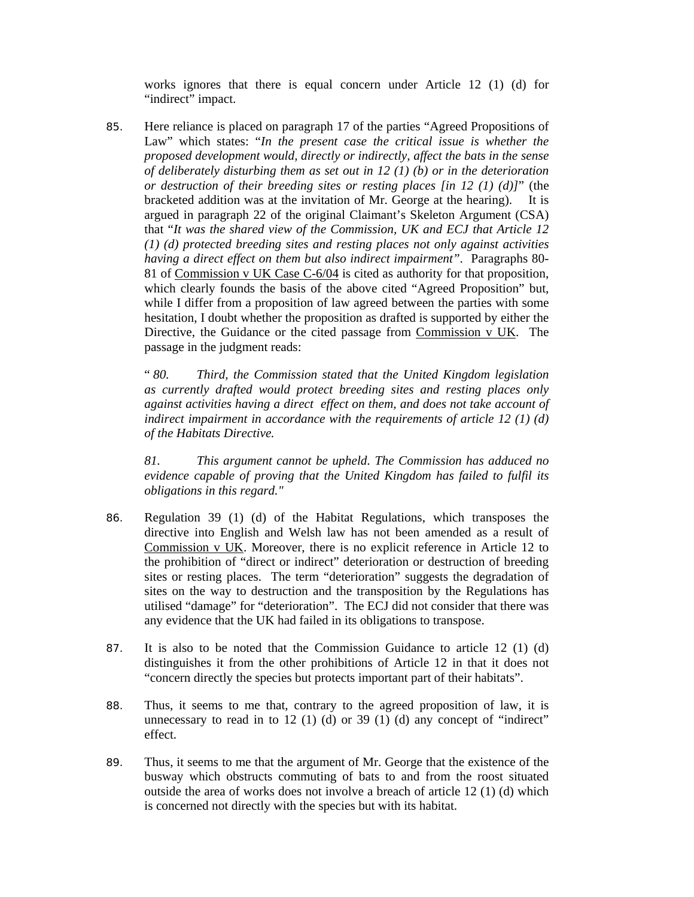works ignores that there is equal concern under Article 12 (1) (d) for "indirect" impact.

85. Here reliance is placed on paragraph 17 of the parties "Agreed Propositions of Law" which states: "*In the present case the critical issue is whether the proposed development would, directly or indirectly, affect the bats in the sense of deliberately disturbing them as set out in 12 (1) (b) or in the deterioration or destruction of their breeding sites or resting places [in 12 (1) (d)]*" (the bracketed addition was at the invitation of Mr. George at the hearing). It is argued in paragraph 22 of the original Claimant's Skeleton Argument (CSA) that "*It was the shared view of the Commission, UK and ECJ that Article 12 (1) (d) protected breeding sites and resting places not only against activities having a direct effect on them but also indirect impairment".* Paragraphs 80- 81 of Commission v UK Case C-6/04 is cited as authority for that proposition, which clearly founds the basis of the above cited "Agreed Proposition" but, while I differ from a proposition of law agreed between the parties with some hesitation, I doubt whether the proposition as drafted is supported by either the Directive, the Guidance or the cited passage from Commission v UK. The passage in the judgment reads:

" *80. Third, the Commission stated that the United Kingdom legislation as currently drafted would protect breeding sites and resting places only against activities having a direct effect on them, and does not take account of indirect impairment in accordance with the requirements of article 12 (1) (d) of the Habitats Directive.* 

*81. This argument cannot be upheld. The Commission has adduced no evidence capable of proving that the United Kingdom has failed to fulfil its obligations in this regard."* 

- 86. Regulation 39 (1) (d) of the Habitat Regulations, which transposes the directive into English and Welsh law has not been amended as a result of Commission v UK. Moreover, there is no explicit reference in Article 12 to the prohibition of "direct or indirect" deterioration or destruction of breeding sites or resting places. The term "deterioration" suggests the degradation of sites on the way to destruction and the transposition by the Regulations has utilised "damage" for "deterioration". The ECJ did not consider that there was any evidence that the UK had failed in its obligations to transpose.
- 87. It is also to be noted that the Commission Guidance to article 12 (1) (d) distinguishes it from the other prohibitions of Article 12 in that it does not "concern directly the species but protects important part of their habitats".
- 88. Thus, it seems to me that, contrary to the agreed proposition of law, it is unnecessary to read in to 12 (1) (d) or 39 (1) (d) any concept of "indirect" effect.
- 89. Thus, it seems to me that the argument of Mr. George that the existence of the busway which obstructs commuting of bats to and from the roost situated outside the area of works does not involve a breach of article 12 (1) (d) which is concerned not directly with the species but with its habitat.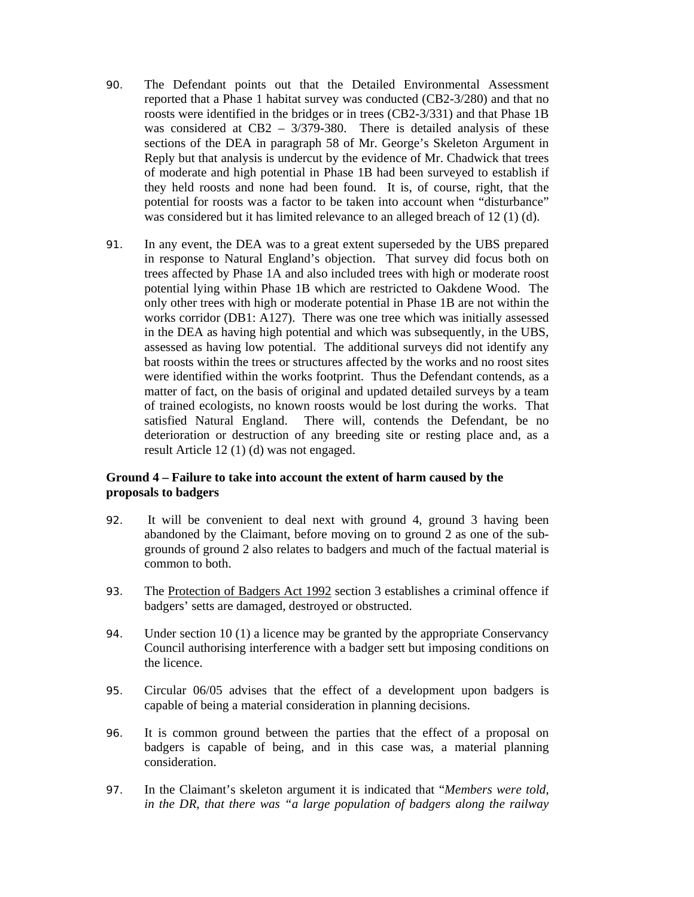- 90. The Defendant points out that the Detailed Environmental Assessment reported that a Phase 1 habitat survey was conducted (CB2-3/280) and that no roosts were identified in the bridges or in trees (CB2-3/331) and that Phase 1B was considered at CB2 – 3/379-380. There is detailed analysis of these sections of the DEA in paragraph 58 of Mr. George's Skeleton Argument in Reply but that analysis is undercut by the evidence of Mr. Chadwick that trees of moderate and high potential in Phase 1B had been surveyed to establish if they held roosts and none had been found. It is, of course, right, that the potential for roosts was a factor to be taken into account when "disturbance" was considered but it has limited relevance to an alleged breach of 12 (1) (d).
- 91. In any event, the DEA was to a great extent superseded by the UBS prepared in response to Natural England's objection. That survey did focus both on trees affected by Phase 1A and also included trees with high or moderate roost potential lying within Phase 1B which are restricted to Oakdene Wood. The only other trees with high or moderate potential in Phase 1B are not within the works corridor (DB1: A127). There was one tree which was initially assessed in the DEA as having high potential and which was subsequently, in the UBS, assessed as having low potential. The additional surveys did not identify any bat roosts within the trees or structures affected by the works and no roost sites were identified within the works footprint. Thus the Defendant contends, as a matter of fact, on the basis of original and updated detailed surveys by a team of trained ecologists, no known roosts would be lost during the works. That satisfied Natural England. There will, contends the Defendant, be no deterioration or destruction of any breeding site or resting place and, as a result Article 12 (1) (d) was not engaged.

# **Ground 4 – Failure to take into account the extent of harm caused by the proposals to badgers**

- 92. It will be convenient to deal next with ground 4, ground 3 having been abandoned by the Claimant, before moving on to ground 2 as one of the subgrounds of ground 2 also relates to badgers and much of the factual material is common to both.
- 93. The Protection of Badgers Act 1992 section 3 establishes a criminal offence if badgers' setts are damaged, destroyed or obstructed.
- 94. Under section 10 (1) a licence may be granted by the appropriate Conservancy Council authorising interference with a badger sett but imposing conditions on the licence.
- 95. Circular 06/05 advises that the effect of a development upon badgers is capable of being a material consideration in planning decisions.
- 96. It is common ground between the parties that the effect of a proposal on badgers is capable of being, and in this case was, a material planning consideration.
- 97. In the Claimant's skeleton argument it is indicated that "*Members were told, in the DR, that there was "a large population of badgers along the railway*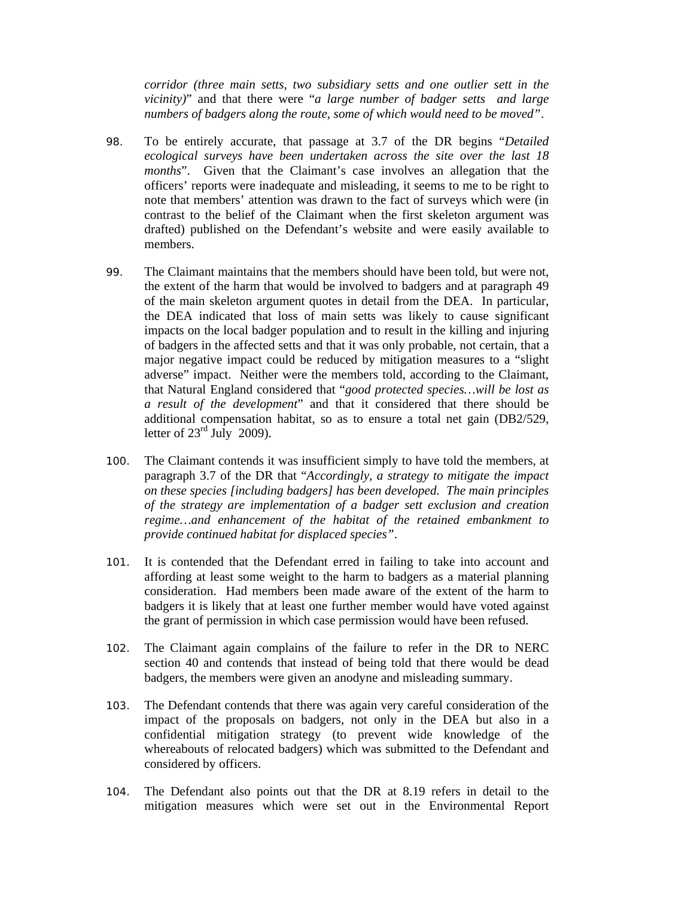*corridor (three main setts, two subsidiary setts and one outlier sett in the vicinity)*" and that there were "*a large number of badger setts and large numbers of badgers along the route, some of which would need to be moved"*.

- 98. To be entirely accurate, that passage at 3.7 of the DR begins "*Detailed ecological surveys have been undertaken across the site over the last 18 months*". Given that the Claimant's case involves an allegation that the officers' reports were inadequate and misleading, it seems to me to be right to note that members' attention was drawn to the fact of surveys which were (in contrast to the belief of the Claimant when the first skeleton argument was drafted) published on the Defendant's website and were easily available to members.
- 99. The Claimant maintains that the members should have been told, but were not, the extent of the harm that would be involved to badgers and at paragraph 49 of the main skeleton argument quotes in detail from the DEA. In particular, the DEA indicated that loss of main setts was likely to cause significant impacts on the local badger population and to result in the killing and injuring of badgers in the affected setts and that it was only probable, not certain, that a major negative impact could be reduced by mitigation measures to a "slight adverse" impact. Neither were the members told, according to the Claimant, that Natural England considered that "*good protected species…will be lost as a result of the development*" and that it considered that there should be additional compensation habitat, so as to ensure a total net gain (DB2/529, letter of  $23<sup>rd</sup>$  July 2009).
- 100. The Claimant contends it was insufficient simply to have told the members, at paragraph 3.7 of the DR that "*Accordingly, a strategy to mitigate the impact on these species [including badgers] has been developed. The main principles of the strategy are implementation of a badger sett exclusion and creation regime…and enhancement of the habitat of the retained embankment to provide continued habitat for displaced species"*.
- 101. It is contended that the Defendant erred in failing to take into account and affording at least some weight to the harm to badgers as a material planning consideration. Had members been made aware of the extent of the harm to badgers it is likely that at least one further member would have voted against the grant of permission in which case permission would have been refused.
- 102. The Claimant again complains of the failure to refer in the DR to NERC section 40 and contends that instead of being told that there would be dead badgers, the members were given an anodyne and misleading summary.
- 103. The Defendant contends that there was again very careful consideration of the impact of the proposals on badgers, not only in the DEA but also in a confidential mitigation strategy (to prevent wide knowledge of the whereabouts of relocated badgers) which was submitted to the Defendant and considered by officers.
- 104. The Defendant also points out that the DR at 8.19 refers in detail to the mitigation measures which were set out in the Environmental Report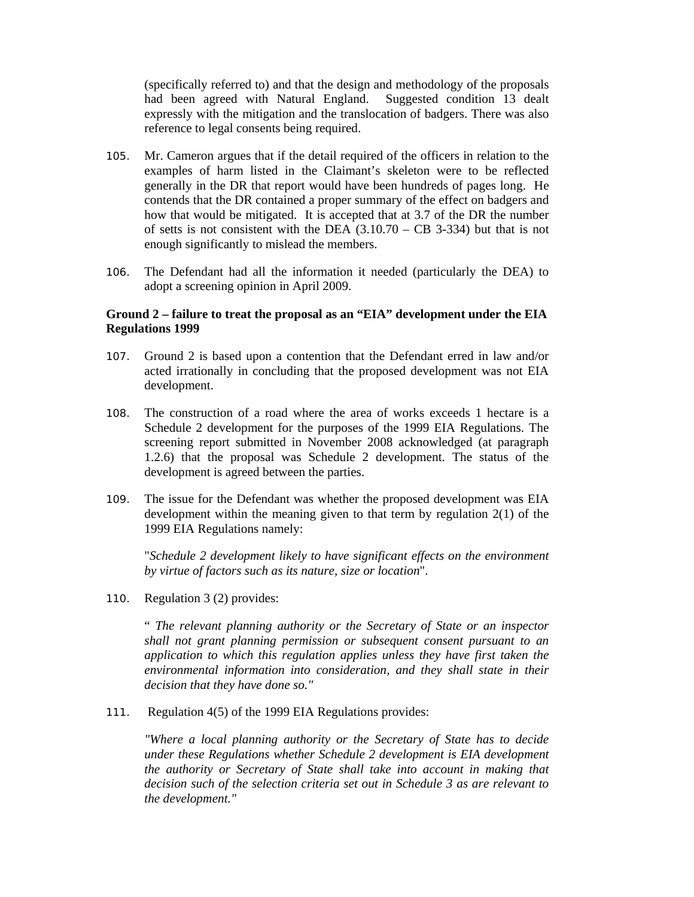(specifically referred to) and that the design and methodology of the proposals had been agreed with Natural England. Suggested condition 13 dealt expressly with the mitigation and the translocation of badgers. There was also reference to legal consents being required.

- 105. Mr. Cameron argues that if the detail required of the officers in relation to the examples of harm listed in the Claimant's skeleton were to be reflected generally in the DR that report would have been hundreds of pages long. He contends that the DR contained a proper summary of the effect on badgers and how that would be mitigated. It is accepted that at 3.7 of the DR the number of setts is not consistent with the DEA  $(3.10.70 - CB 3-334)$  but that is not enough significantly to mislead the members.
- 106. The Defendant had all the information it needed (particularly the DEA) to adopt a screening opinion in April 2009.

#### **Ground 2 – failure to treat the proposal as an "EIA" development under the EIA Regulations 1999**

- 107. Ground 2 is based upon a contention that the Defendant erred in law and/or acted irrationally in concluding that the proposed development was not EIA development.
- 108. The construction of a road where the area of works exceeds 1 hectare is a Schedule 2 development for the purposes of the 1999 EIA Regulations. The screening report submitted in November 2008 acknowledged (at paragraph 1.2.6) that the proposal was Schedule 2 development. The status of the development is agreed between the parties.
- 109. The issue for the Defendant was whether the proposed development was EIA development within the meaning given to that term by regulation 2(1) of the 1999 EIA Regulations namely:

"*Schedule 2 development likely to have significant effects on the environment by virtue of factors such as its nature, size or location*".

110. Regulation 3 (2) provides:

" *The relevant planning authority or the Secretary of State or an inspector shall not grant planning permission or subsequent consent pursuant to an application to which this regulation applies unless they have first taken the environmental information into consideration, and they shall state in their decision that they have done so."*

111. Regulation 4(5) of the 1999 EIA Regulations provides:

*"Where a local planning authority or the Secretary of State has to decide under these Regulations whether Schedule 2 development is EIA development the authority or Secretary of State shall take into account in making that decision such of the selection criteria set out in Schedule 3 as are relevant to the development."*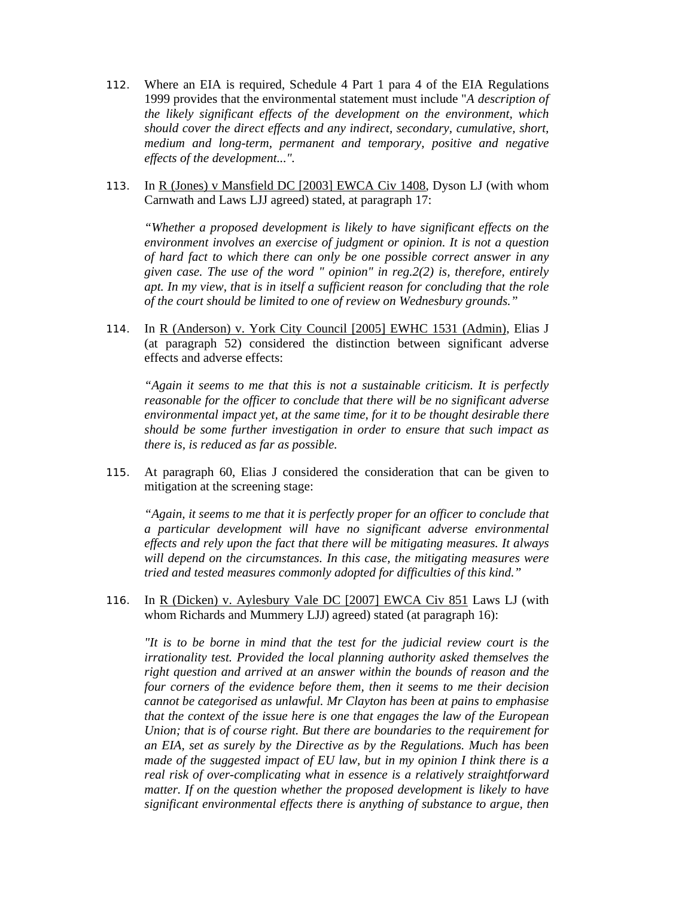- 112. Where an EIA is required, Schedule 4 Part 1 para 4 of the EIA Regulations 1999 provides that the environmental statement must include "*A description of the likely significant effects of the development on the environment, which should cover the direct effects and any indirect, secondary, cumulative, short, medium and long-term, permanent and temporary, positive and negative effects of the development...".*
- 113. In R (Jones) v Mansfield DC [2003] EWCA Civ 1408, Dyson LJ (with whom Carnwath and Laws LJJ agreed) stated, at paragraph 17:

*"Whether a proposed development is likely to have significant effects on the environment involves an exercise of judgment or opinion. It is not a question of hard fact to which there can only be one possible correct answer in any given case. The use of the word " opinion" in reg.2(2) is, therefore, entirely apt. In my view, that is in itself a sufficient reason for concluding that the role of the court should be limited to one of review on Wednesbury grounds."* 

114. In R (Anderson) v. York City Council [2005] EWHC 1531 (Admin), Elias J (at paragraph 52) considered the distinction between significant adverse effects and adverse effects:

*"Again it seems to me that this is not a sustainable criticism. It is perfectly reasonable for the officer to conclude that there will be no significant adverse environmental impact yet, at the same time, for it to be thought desirable there should be some further investigation in order to ensure that such impact as there is, is reduced as far as possible.* 

115. At paragraph 60, Elias J considered the consideration that can be given to mitigation at the screening stage:

*"Again, it seems to me that it is perfectly proper for an officer to conclude that a particular development will have no significant adverse environmental effects and rely upon the fact that there will be mitigating measures. It always will depend on the circumstances. In this case, the mitigating measures were tried and tested measures commonly adopted for difficulties of this kind."*

116. In R (Dicken) v. Aylesbury Vale DC [2007] EWCA Civ 851 Laws LJ (with whom Richards and Mummery LJJ) agreed) stated (at paragraph 16):

*"It is to be borne in mind that the test for the judicial review court is the irrationality test. Provided the local planning authority asked themselves the right question and arrived at an answer within the bounds of reason and the four corners of the evidence before them, then it seems to me their decision cannot be categorised as unlawful. Mr Clayton has been at pains to emphasise that the context of the issue here is one that engages the law of the European Union; that is of course right. But there are boundaries to the requirement for an EIA, set as surely by the Directive as by the Regulations. Much has been made of the suggested impact of EU law, but in my opinion I think there is a real risk of over-complicating what in essence is a relatively straightforward matter. If on the question whether the proposed development is likely to have significant environmental effects there is anything of substance to argue, then*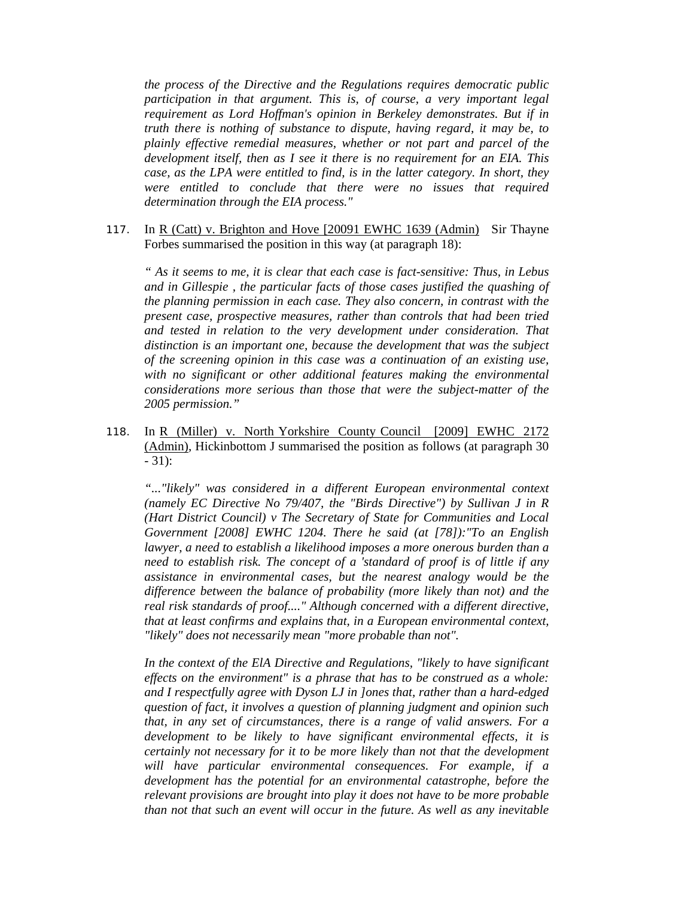*the process of the Directive and the Regulations requires democratic public participation in that argument. This is, of course, a very important legal requirement as Lord Hoffman's opinion in Berkeley demonstrates. But if in truth there is nothing of substance to dispute, having regard, it may be, to plainly effective remedial measures, whether or not part and parcel of the development itself, then as I see it there is no requirement for an EIA. This case, as the LPA were entitled to find, is in the latter category. In short, they were entitled to conclude that there were no issues that required determination through the EIA process."* 

117. In R (Catt) v. Brighton and Hove [20091 EWHC 1639 (Admin) Sir Thayne Forbes summarised the position in this way (at paragraph 18):

*" As it seems to me, it is clear that each case is fact-sensitive: Thus, in Lebus and in Gillespie , the particular facts of those cases justified the quashing of the planning permission in each case. They also concern, in contrast with the present case, prospective measures, rather than controls that had been tried and tested in relation to the very development under consideration. That distinction is an important one, because the development that was the subject of the screening opinion in this case was a continuation of an existing use, with no significant or other additional features making the environmental considerations more serious than those that were the subject-matter of the 2005 permission."*

118. In R (Miller) v. North Yorkshire County Council [2009] EWHC 2172 (Admin), Hickinbottom J summarised the position as follows (at paragraph 30 - 31):

*"..."likely" was considered in a different European environmental context (namely EC Directive No 79/407, the "Birds Directive") by Sullivan J in R (Hart District Council) v The Secretary of State for Communities and Local Government [2008] EWHC 1204. There he said (at [78]):"To an English lawyer, a need to establish a likelihood imposes a more onerous burden than a need to establish risk. The concept of a 'standard of proof is of little if any assistance in environmental cases, but the nearest analogy would be the difference between the balance of probability (more likely than not) and the real risk standards of proof...." Although concerned with a different directive, that at least confirms and explains that, in a European environmental context, "likely" does not necessarily mean "more probable than not".* 

*In the context of the ElA Directive and Regulations, "likely to have significant effects on the environment" is a phrase that has to be construed as a whole: and I respectfully agree with Dyson LJ in ]ones that, rather than a hard-edged question of fact, it involves a question of planning judgment and opinion such that, in any set of circumstances, there is a range of valid answers. For a development to be likely to have significant environmental effects, it is certainly not necessary for it to be more likely than not that the development will have particular environmental consequences. For example, if a development has the potential for an environmental catastrophe, before the relevant provisions are brought into play it does not have to be more probable than not that such an event will occur in the future. As well as any inevitable*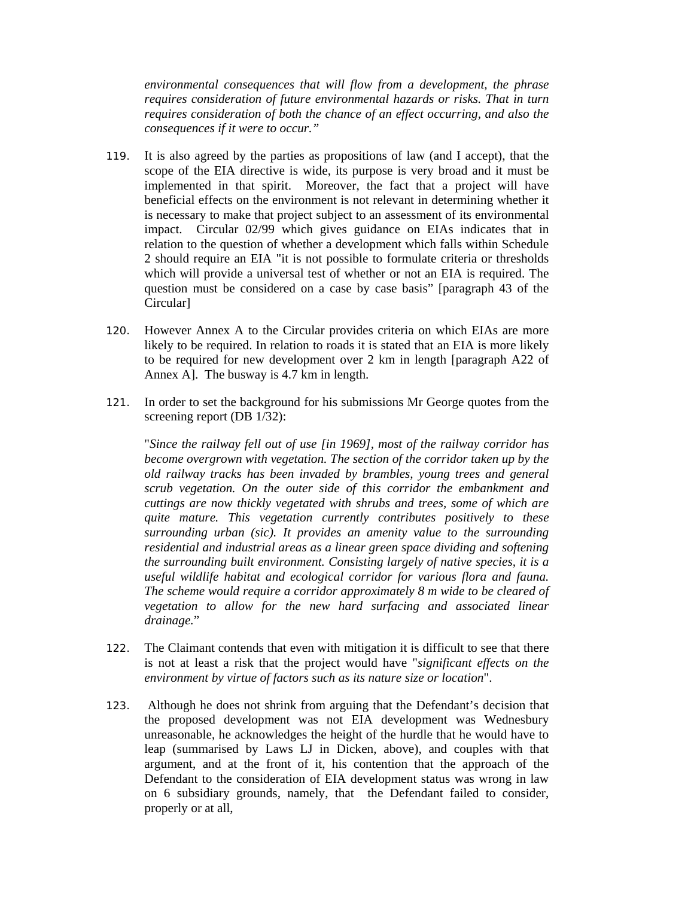*environmental consequences that will flow from a development, the phrase requires consideration of future environmental hazards or risks. That in turn requires consideration of both the chance of an effect occurring, and also the consequences if it were to occur."*

- 119. It is also agreed by the parties as propositions of law (and I accept), that the scope of the EIA directive is wide, its purpose is very broad and it must be implemented in that spirit. Moreover, the fact that a project will have beneficial effects on the environment is not relevant in determining whether it is necessary to make that project subject to an assessment of its environmental impact. Circular 02/99 which gives guidance on EIAs indicates that in relation to the question of whether a development which falls within Schedule 2 should require an EIA "it is not possible to formulate criteria or thresholds which will provide a universal test of whether or not an EIA is required. The question must be considered on a case by case basis" [paragraph 43 of the Circular]
- 120. However Annex A to the Circular provides criteria on which EIAs are more likely to be required. In relation to roads it is stated that an EIA is more likely to be required for new development over 2 km in length [paragraph A22 of Annex A]. The busway is 4.7 km in length.
- 121. In order to set the background for his submissions Mr George quotes from the screening report (DB 1/32):

"*Since the railway fell out of use [in 1969], most of the railway corridor has become overgrown with vegetation. The section of the corridor taken up by the old railway tracks has been invaded by brambles, young trees and general scrub vegetation. On the outer side of this corridor the embankment and cuttings are now thickly vegetated with shrubs and trees, some of which are quite mature. This vegetation currently contributes positively to these surrounding urban (sic). It provides an amenity value to the surrounding residential and industrial areas as a linear green space dividing and softening the surrounding built environment. Consisting largely of native species, it is a useful wildlife habitat and ecological corridor for various flora and fauna. The scheme would require a corridor approximately 8 m wide to be cleared of vegetation to allow for the new hard surfacing and associated linear drainage.*"

- 122. The Claimant contends that even with mitigation it is difficult to see that there is not at least a risk that the project would have "*significant effects on the environment by virtue of factors such as its nature size or location*".
- 123. Although he does not shrink from arguing that the Defendant's decision that the proposed development was not EIA development was Wednesbury unreasonable, he acknowledges the height of the hurdle that he would have to leap (summarised by Laws LJ in Dicken, above), and couples with that argument, and at the front of it, his contention that the approach of the Defendant to the consideration of EIA development status was wrong in law on 6 subsidiary grounds, namely, that the Defendant failed to consider, properly or at all,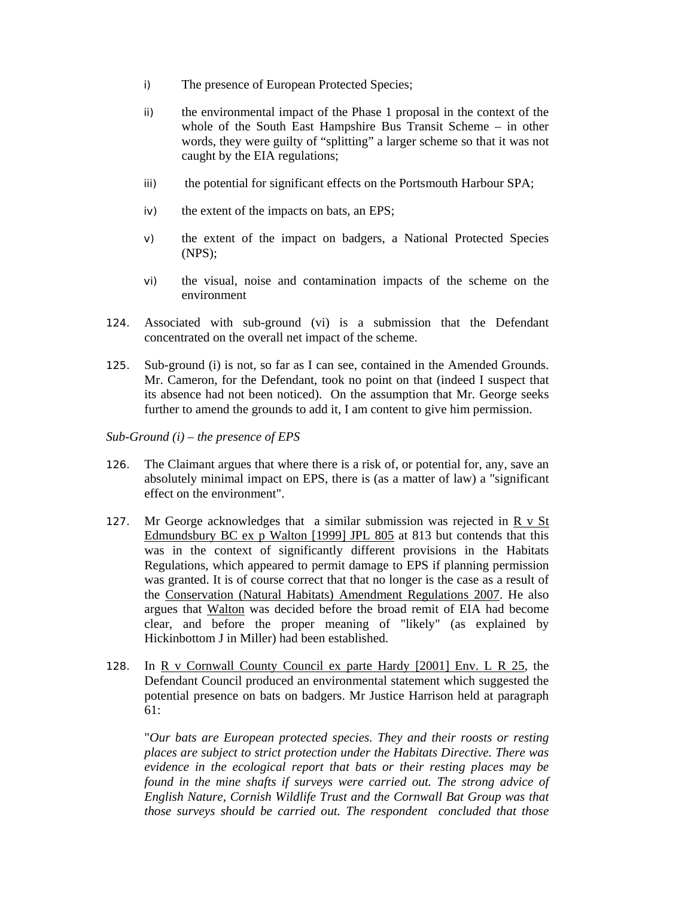- i) The presence of European Protected Species;
- ii) the environmental impact of the Phase 1 proposal in the context of the whole of the South East Hampshire Bus Transit Scheme – in other words, they were guilty of "splitting" a larger scheme so that it was not caught by the EIA regulations;
- iii) the potential for significant effects on the Portsmouth Harbour SPA;
- iv) the extent of the impacts on bats, an EPS;
- v) the extent of the impact on badgers, a National Protected Species (NPS);
- vi) the visual, noise and contamination impacts of the scheme on the environment
- 124. Associated with sub-ground (vi) is a submission that the Defendant concentrated on the overall net impact of the scheme.
- 125. Sub-ground (i) is not, so far as I can see, contained in the Amended Grounds. Mr. Cameron, for the Defendant, took no point on that (indeed I suspect that its absence had not been noticed). On the assumption that Mr. George seeks further to amend the grounds to add it, I am content to give him permission.
- *Sub-Ground (i) the presence of EPS*
- 126. The Claimant argues that where there is a risk of, or potential for, any, save an absolutely minimal impact on EPS, there is (as a matter of law) a "significant effect on the environment".
- 127. Mr George acknowledges that a similar submission was rejected in R v St Edmundsbury BC ex p Walton [1999] JPL 805 at 813 but contends that this was in the context of significantly different provisions in the Habitats Regulations, which appeared to permit damage to EPS if planning permission was granted. It is of course correct that that no longer is the case as a result of the Conservation (Natural Habitats) Amendment Regulations 2007. He also argues that Walton was decided before the broad remit of EIA had become clear, and before the proper meaning of "likely" (as explained by Hickinbottom J in Miller) had been established.
- 128. In R v Cornwall County Council ex parte Hardy [2001] Env. L R 25, the Defendant Council produced an environmental statement which suggested the potential presence on bats on badgers. Mr Justice Harrison held at paragraph 61:

"*Our bats are European protected species. They and their roosts or resting places are subject to strict protection under the Habitats Directive. There was evidence in the ecological report that bats or their resting places may be found in the mine shafts if surveys were carried out. The strong advice of English Nature, Cornish Wildlife Trust and the Cornwall Bat Group was that those surveys should be carried out. The respondent concluded that those*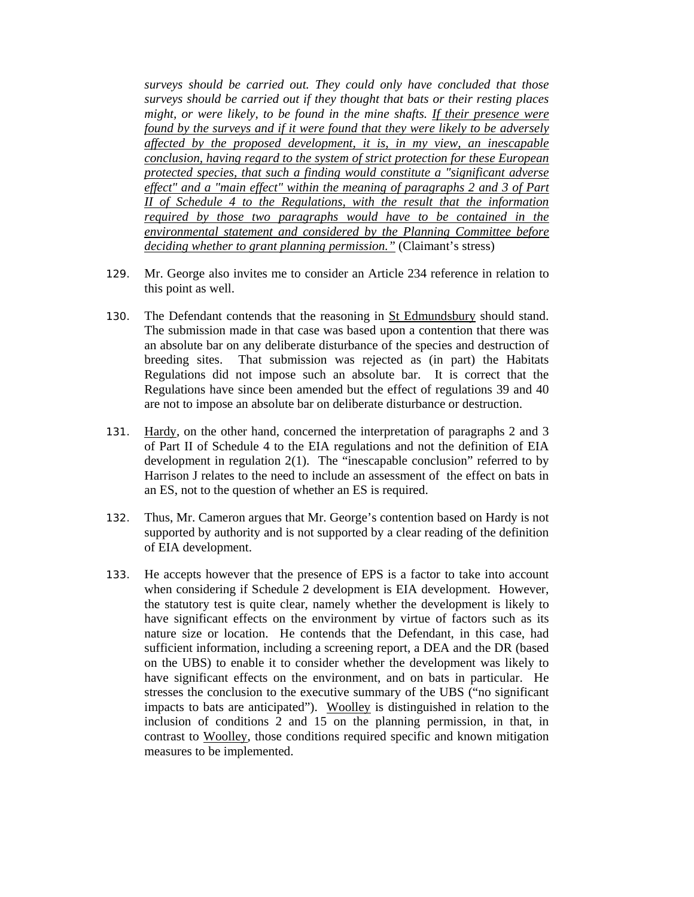*surveys should be carried out. They could only have concluded that those surveys should be carried out if they thought that bats or their resting places might, or were likely, to be found in the mine shafts. If their presence were found by the surveys and if it were found that they were likely to be adversely affected by the proposed development, it is, in my view, an inescapable conclusion, having regard to the system of strict protection for these European protected species, that such a finding would constitute a "significant adverse effect" and a "main effect" within the meaning of paragraphs 2 and 3 of Part II of Schedule 4 to the Regulations, with the result that the information required by those two paragraphs would have to be contained in the environmental statement and considered by the Planning Committee before deciding whether to grant planning permission."* (Claimant's stress)

- 129. Mr. George also invites me to consider an Article 234 reference in relation to this point as well.
- 130. The Defendant contends that the reasoning in St Edmundsbury should stand. The submission made in that case was based upon a contention that there was an absolute bar on any deliberate disturbance of the species and destruction of breeding sites. That submission was rejected as (in part) the Habitats Regulations did not impose such an absolute bar. It is correct that the Regulations have since been amended but the effect of regulations 39 and 40 are not to impose an absolute bar on deliberate disturbance or destruction.
- 131. Hardy, on the other hand, concerned the interpretation of paragraphs 2 and 3 of Part II of Schedule 4 to the EIA regulations and not the definition of EIA development in regulation 2(1). The "inescapable conclusion" referred to by Harrison J relates to the need to include an assessment of the effect on bats in an ES, not to the question of whether an ES is required.
- 132. Thus, Mr. Cameron argues that Mr. George's contention based on Hardy is not supported by authority and is not supported by a clear reading of the definition of EIA development.
- 133. He accepts however that the presence of EPS is a factor to take into account when considering if Schedule 2 development is EIA development. However, the statutory test is quite clear, namely whether the development is likely to have significant effects on the environment by virtue of factors such as its nature size or location. He contends that the Defendant, in this case, had sufficient information, including a screening report, a DEA and the DR (based on the UBS) to enable it to consider whether the development was likely to have significant effects on the environment, and on bats in particular. He stresses the conclusion to the executive summary of the UBS ("no significant impacts to bats are anticipated"). Woolley is distinguished in relation to the inclusion of conditions 2 and 15 on the planning permission, in that, in contrast to Woolley, those conditions required specific and known mitigation measures to be implemented.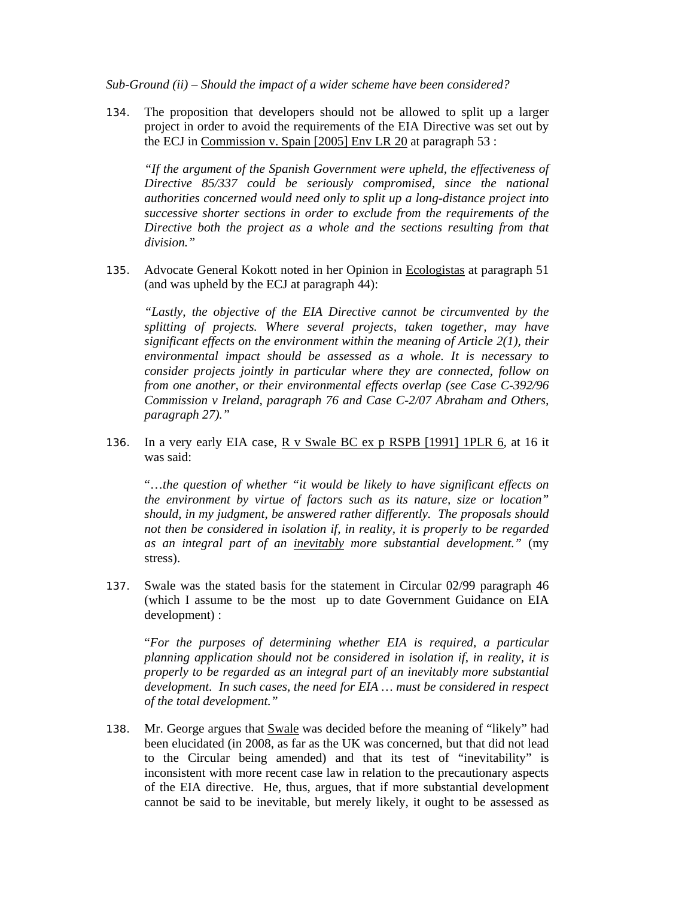*Sub-Ground (ii) – Should the impact of a wider scheme have been considered?* 

134. The proposition that developers should not be allowed to split up a larger project in order to avoid the requirements of the EIA Directive was set out by the ECJ in Commission v. Spain [2005] Env LR 20 at paragraph 53 :

*"If the argument of the Spanish Government were upheld, the effectiveness of Directive 85/337 could be seriously compromised, since the national authorities concerned would need only to split up a long-distance project into successive shorter sections in order to exclude from the requirements of the Directive both the project as a whole and the sections resulting from that division."* 

135. Advocate General Kokott noted in her Opinion in Ecologistas at paragraph 51 (and was upheld by the ECJ at paragraph 44):

*"Lastly, the objective of the EIA Directive cannot be circumvented by the splitting of projects. Where several projects, taken together, may have significant effects on the environment within the meaning of Article 2(1), their environmental impact should be assessed as a whole. It is necessary to consider projects jointly in particular where they are connected, follow on from one another, or their environmental effects overlap (see Case C-392/96 Commission v Ireland, paragraph 76 and Case C-2/07 Abraham and Others, paragraph 27)."*

136. In a very early EIA case, R v Swale BC ex p RSPB [1991] 1PLR 6*,* at 16 it was said:

"…*the question of whether "it would be likely to have significant effects on the environment by virtue of factors such as its nature, size or location" should, in my judgment, be answered rather differently. The proposals should not then be considered in isolation if, in reality, it is properly to be regarded as an integral part of an inevitably more substantial development."* (my stress).

137. Swale was the stated basis for the statement in Circular 02/99 paragraph 46 (which I assume to be the most up to date Government Guidance on EIA development) :

"*For the purposes of determining whether EIA is required, a particular planning application should not be considered in isolation if, in reality, it is properly to be regarded as an integral part of an inevitably more substantial development. In such cases, the need for EIA … must be considered in respect of the total development."*

138. Mr. George argues that Swale was decided before the meaning of "likely" had been elucidated (in 2008, as far as the UK was concerned, but that did not lead to the Circular being amended) and that its test of "inevitability" is inconsistent with more recent case law in relation to the precautionary aspects of the EIA directive. He, thus, argues, that if more substantial development cannot be said to be inevitable, but merely likely, it ought to be assessed as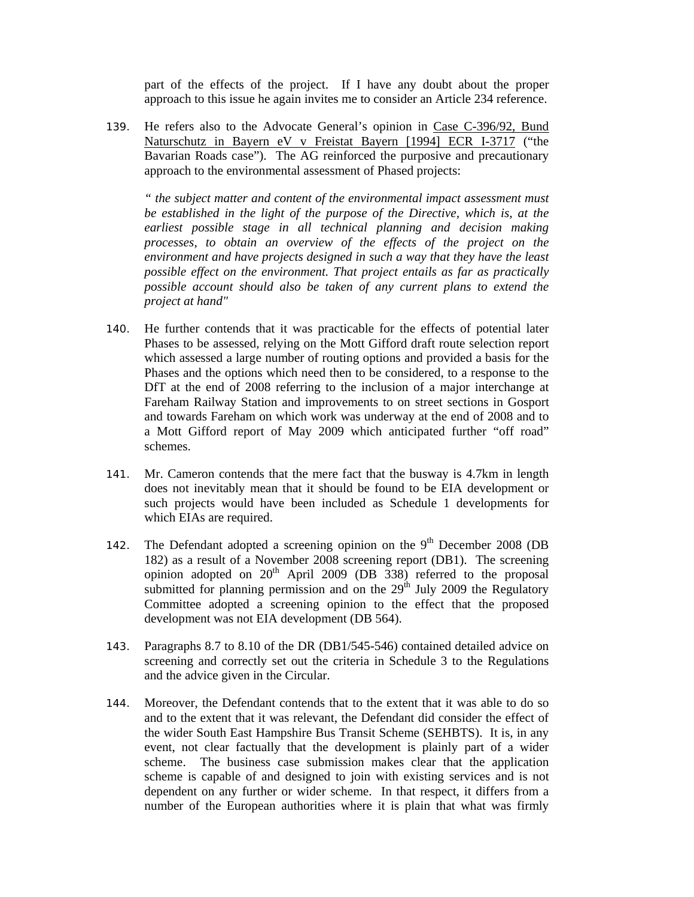part of the effects of the project. If I have any doubt about the proper approach to this issue he again invites me to consider an Article 234 reference.

139. He refers also to the Advocate General's opinion in Case C-396/92, Bund Naturschutz in Bayern eV v Freistat Bayern [1994] ECR I-3717 ("the Bavarian Roads case"). The AG reinforced the purposive and precautionary approach to the environmental assessment of Phased projects:

*" the subject matter and content of the environmental impact assessment must be established in the light of the purpose of the Directive, which is, at the earliest possible stage in all technical planning and decision making processes, to obtain an overview of the effects of the project on the environment and have projects designed in such a way that they have the least possible effect on the environment. That project entails as far as practically possible account should also be taken of any current plans to extend the project at hand"* 

- 140. He further contends that it was practicable for the effects of potential later Phases to be assessed, relying on the Mott Gifford draft route selection report which assessed a large number of routing options and provided a basis for the Phases and the options which need then to be considered, to a response to the DfT at the end of 2008 referring to the inclusion of a major interchange at Fareham Railway Station and improvements to on street sections in Gosport and towards Fareham on which work was underway at the end of 2008 and to a Mott Gifford report of May 2009 which anticipated further "off road" schemes.
- 141. Mr. Cameron contends that the mere fact that the busway is 4.7km in length does not inevitably mean that it should be found to be EIA development or such projects would have been included as Schedule 1 developments for which EIAs are required.
- 142. The Defendant adopted a screening opinion on the  $9<sup>th</sup>$  December 2008 (DB 182) as a result of a November 2008 screening report (DB1). The screening opinion adopted on  $20<sup>th</sup>$  April 2009 (DB 338) referred to the proposal submitted for planning permission and on the  $29<sup>th</sup>$  July 2009 the Regulatory Committee adopted a screening opinion to the effect that the proposed development was not EIA development (DB 564).
- 143. Paragraphs 8.7 to 8.10 of the DR (DB1/545-546) contained detailed advice on screening and correctly set out the criteria in Schedule 3 to the Regulations and the advice given in the Circular.
- 144. Moreover, the Defendant contends that to the extent that it was able to do so and to the extent that it was relevant, the Defendant did consider the effect of the wider South East Hampshire Bus Transit Scheme (SEHBTS). It is, in any event, not clear factually that the development is plainly part of a wider scheme. The business case submission makes clear that the application scheme is capable of and designed to join with existing services and is not dependent on any further or wider scheme. In that respect, it differs from a number of the European authorities where it is plain that what was firmly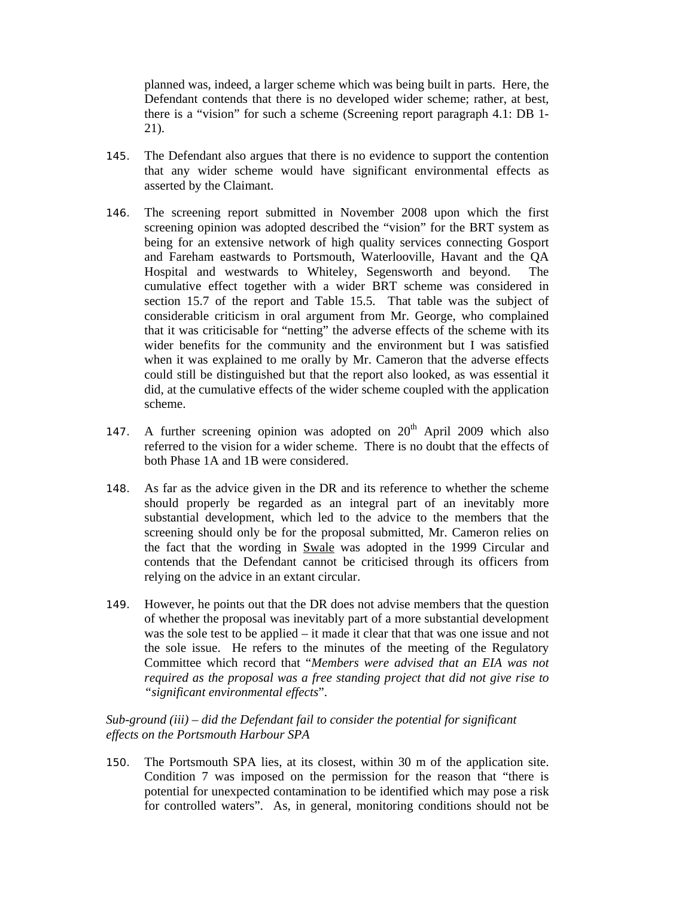planned was, indeed, a larger scheme which was being built in parts. Here, the Defendant contends that there is no developed wider scheme; rather, at best, there is a "vision" for such a scheme (Screening report paragraph 4.1: DB 1- 21).

- 145. The Defendant also argues that there is no evidence to support the contention that any wider scheme would have significant environmental effects as asserted by the Claimant.
- 146. The screening report submitted in November 2008 upon which the first screening opinion was adopted described the "vision" for the BRT system as being for an extensive network of high quality services connecting Gosport and Fareham eastwards to Portsmouth, Waterlooville, Havant and the QA Hospital and westwards to Whiteley, Segensworth and beyond. The cumulative effect together with a wider BRT scheme was considered in section 15.7 of the report and Table 15.5. That table was the subject of considerable criticism in oral argument from Mr. George, who complained that it was criticisable for "netting" the adverse effects of the scheme with its wider benefits for the community and the environment but I was satisfied when it was explained to me orally by Mr. Cameron that the adverse effects could still be distinguished but that the report also looked, as was essential it did, at the cumulative effects of the wider scheme coupled with the application scheme.
- 147. A further screening opinion was adopted on  $20<sup>th</sup>$  April 2009 which also referred to the vision for a wider scheme. There is no doubt that the effects of both Phase 1A and 1B were considered.
- 148. As far as the advice given in the DR and its reference to whether the scheme should properly be regarded as an integral part of an inevitably more substantial development, which led to the advice to the members that the screening should only be for the proposal submitted, Mr. Cameron relies on the fact that the wording in Swale was adopted in the 1999 Circular and contends that the Defendant cannot be criticised through its officers from relying on the advice in an extant circular.
- 149. However, he points out that the DR does not advise members that the question of whether the proposal was inevitably part of a more substantial development was the sole test to be applied – it made it clear that that was one issue and not the sole issue. He refers to the minutes of the meeting of the Regulatory Committee which record that "*Members were advised that an EIA was not required as the proposal was a free standing project that did not give rise to "significant environmental effects*".

# *Sub-ground (iii) – did the Defendant fail to consider the potential for significant effects on the Portsmouth Harbour SPA*

150. The Portsmouth SPA lies, at its closest, within 30 m of the application site. Condition 7 was imposed on the permission for the reason that "there is potential for unexpected contamination to be identified which may pose a risk for controlled waters". As, in general, monitoring conditions should not be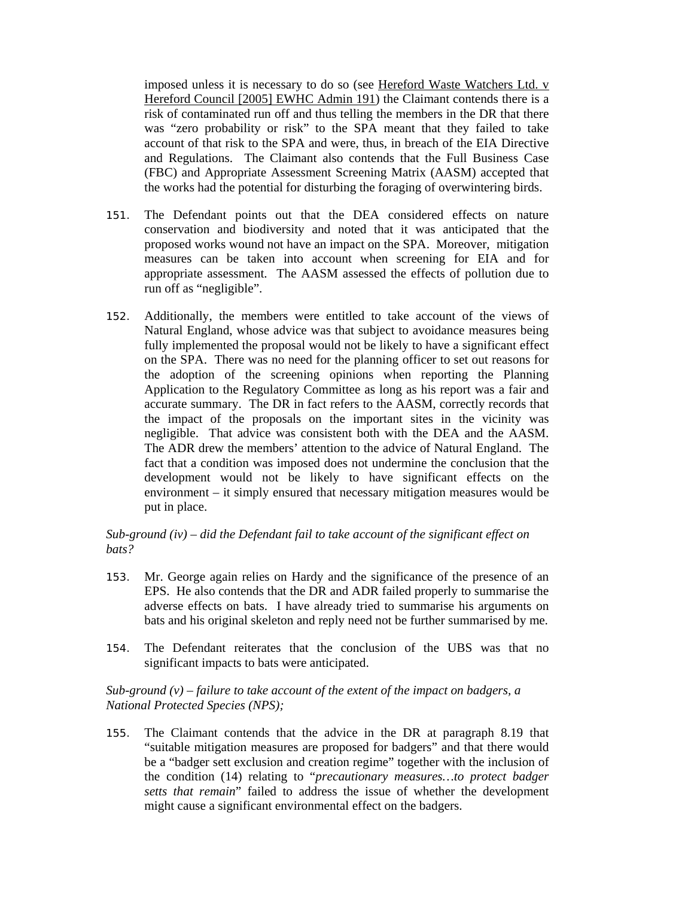imposed unless it is necessary to do so (see Hereford Waste Watchers Ltd. v Hereford Council [2005] EWHC Admin 191) the Claimant contends there is a risk of contaminated run off and thus telling the members in the DR that there was "zero probability or risk" to the SPA meant that they failed to take account of that risk to the SPA and were, thus, in breach of the EIA Directive and Regulations. The Claimant also contends that the Full Business Case (FBC) and Appropriate Assessment Screening Matrix (AASM) accepted that the works had the potential for disturbing the foraging of overwintering birds.

- 151. The Defendant points out that the DEA considered effects on nature conservation and biodiversity and noted that it was anticipated that the proposed works wound not have an impact on the SPA. Moreover, mitigation measures can be taken into account when screening for EIA and for appropriate assessment. The AASM assessed the effects of pollution due to run off as "negligible".
- 152. Additionally, the members were entitled to take account of the views of Natural England, whose advice was that subject to avoidance measures being fully implemented the proposal would not be likely to have a significant effect on the SPA. There was no need for the planning officer to set out reasons for the adoption of the screening opinions when reporting the Planning Application to the Regulatory Committee as long as his report was a fair and accurate summary. The DR in fact refers to the AASM, correctly records that the impact of the proposals on the important sites in the vicinity was negligible. That advice was consistent both with the DEA and the AASM. The ADR drew the members' attention to the advice of Natural England. The fact that a condition was imposed does not undermine the conclusion that the development would not be likely to have significant effects on the environment – it simply ensured that necessary mitigation measures would be put in place.

# *Sub-ground (iv) – did the Defendant fail to take account of the significant effect on bats?*

- 153. Mr. George again relies on Hardy and the significance of the presence of an EPS. He also contends that the DR and ADR failed properly to summarise the adverse effects on bats. I have already tried to summarise his arguments on bats and his original skeleton and reply need not be further summarised by me.
- 154. The Defendant reiterates that the conclusion of the UBS was that no significant impacts to bats were anticipated.

# *Sub-ground (v) – failure to take account of the extent of the impact on badgers, a National Protected Species (NPS);*

155. The Claimant contends that the advice in the DR at paragraph 8.19 that "suitable mitigation measures are proposed for badgers" and that there would be a "badger sett exclusion and creation regime" together with the inclusion of the condition (14) relating to "*precautionary measures…to protect badger setts that remain*" failed to address the issue of whether the development might cause a significant environmental effect on the badgers.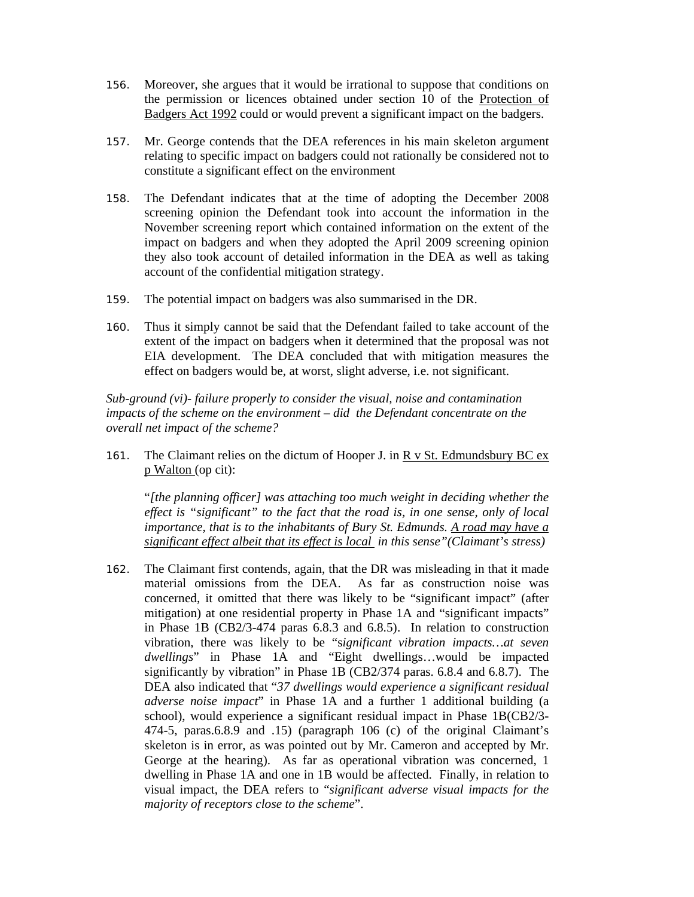- 156. Moreover, she argues that it would be irrational to suppose that conditions on the permission or licences obtained under section 10 of the Protection of Badgers Act 1992 could or would prevent a significant impact on the badgers.
- 157. Mr. George contends that the DEA references in his main skeleton argument relating to specific impact on badgers could not rationally be considered not to constitute a significant effect on the environment
- 158. The Defendant indicates that at the time of adopting the December 2008 screening opinion the Defendant took into account the information in the November screening report which contained information on the extent of the impact on badgers and when they adopted the April 2009 screening opinion they also took account of detailed information in the DEA as well as taking account of the confidential mitigation strategy.
- 159. The potential impact on badgers was also summarised in the DR.
- 160. Thus it simply cannot be said that the Defendant failed to take account of the extent of the impact on badgers when it determined that the proposal was not EIA development. The DEA concluded that with mitigation measures the effect on badgers would be, at worst, slight adverse, i.e. not significant.

*Sub-ground (vi)- failure properly to consider the visual, noise and contamination impacts of the scheme on the environment – did the Defendant concentrate on the overall net impact of the scheme?* 

161. The Claimant relies on the dictum of Hooper J. in R v St. Edmundsbury BC ex p Walton (op cit):

"*[the planning officer] was attaching too much weight in deciding whether the effect is "significant" to the fact that the road is, in one sense, only of local importance, that is to the inhabitants of Bury St. Edmunds. A road may have a significant effect albeit that its effect is local in this sense"(Claimant's stress)* 

162. The Claimant first contends, again, that the DR was misleading in that it made material omissions from the DEA. As far as construction noise was concerned, it omitted that there was likely to be "significant impact" (after mitigation) at one residential property in Phase 1A and "significant impacts" in Phase 1B (CB2/3-474 paras 6.8.3 and 6.8.5). In relation to construction vibration, there was likely to be "s*ignificant vibration impacts…at seven dwellings*" in Phase 1A and "Eight dwellings…would be impacted significantly by vibration" in Phase 1B (CB2/374 paras. 6.8.4 and 6.8.7). The DEA also indicated that "*37 dwellings would experience a significant residual adverse noise impact*" in Phase 1A and a further 1 additional building (a school), would experience a significant residual impact in Phase 1B(CB2/3- 474-5, paras.6.8.9 and .15) (paragraph 106 (c) of the original Claimant's skeleton is in error, as was pointed out by Mr. Cameron and accepted by Mr. George at the hearing). As far as operational vibration was concerned, 1 dwelling in Phase 1A and one in 1B would be affected. Finally, in relation to visual impact, the DEA refers to "*significant adverse visual impacts for the majority of receptors close to the scheme*".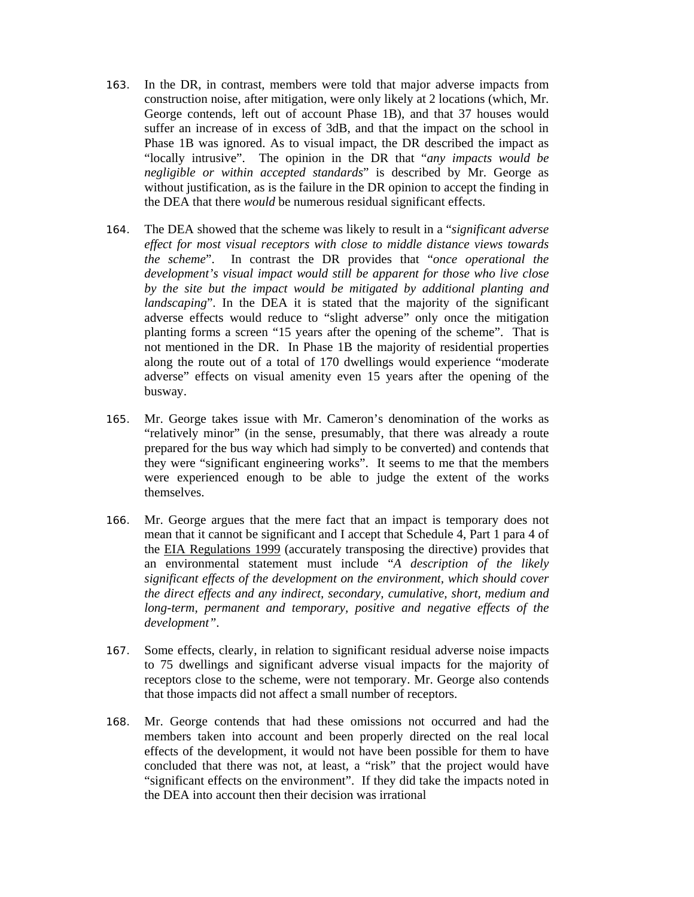- 163. In the DR, in contrast, members were told that major adverse impacts from construction noise, after mitigation, were only likely at 2 locations (which, Mr. George contends, left out of account Phase 1B), and that 37 houses would suffer an increase of in excess of 3dB, and that the impact on the school in Phase 1B was ignored. As to visual impact, the DR described the impact as "locally intrusive". The opinion in the DR that "*any impacts would be negligible or within accepted standards*" is described by Mr. George as without justification, as is the failure in the DR opinion to accept the finding in the DEA that there *would* be numerous residual significant effects.
- 164. The DEA showed that the scheme was likely to result in a "*significant adverse effect for most visual receptors with close to middle distance views towards the scheme*". In contrast the DR provides that "*once operational the development's visual impact would still be apparent for those who live close by the site but the impact would be mitigated by additional planting and landscaping*". In the DEA it is stated that the majority of the significant adverse effects would reduce to "slight adverse" only once the mitigation planting forms a screen "15 years after the opening of the scheme". That is not mentioned in the DR. In Phase 1B the majority of residential properties along the route out of a total of 170 dwellings would experience "moderate adverse" effects on visual amenity even 15 years after the opening of the busway.
- 165. Mr. George takes issue with Mr. Cameron's denomination of the works as "relatively minor" (in the sense, presumably, that there was already a route prepared for the bus way which had simply to be converted) and contends that they were "significant engineering works". It seems to me that the members were experienced enough to be able to judge the extent of the works themselves.
- 166. Mr. George argues that the mere fact that an impact is temporary does not mean that it cannot be significant and I accept that Schedule 4, Part 1 para 4 of the EIA Regulations 1999 (accurately transposing the directive) provides that an environmental statement must include "*A description of the likely significant effects of the development on the environment, which should cover the direct effects and any indirect, secondary, cumulative, short, medium and long-term, permanent and temporary, positive and negative effects of the development"*.
- 167. Some effects, clearly, in relation to significant residual adverse noise impacts to 75 dwellings and significant adverse visual impacts for the majority of receptors close to the scheme, were not temporary. Mr. George also contends that those impacts did not affect a small number of receptors.
- 168. Mr. George contends that had these omissions not occurred and had the members taken into account and been properly directed on the real local effects of the development, it would not have been possible for them to have concluded that there was not, at least, a "risk" that the project would have "significant effects on the environment". If they did take the impacts noted in the DEA into account then their decision was irrational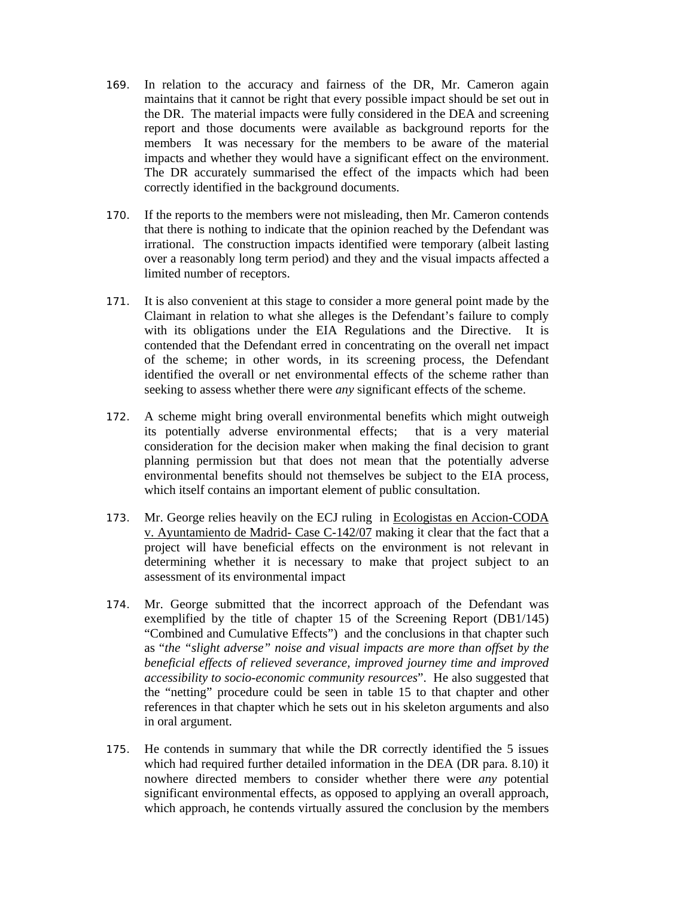- 169. In relation to the accuracy and fairness of the DR, Mr. Cameron again maintains that it cannot be right that every possible impact should be set out in the DR. The material impacts were fully considered in the DEA and screening report and those documents were available as background reports for the members It was necessary for the members to be aware of the material impacts and whether they would have a significant effect on the environment. The DR accurately summarised the effect of the impacts which had been correctly identified in the background documents.
- 170. If the reports to the members were not misleading, then Mr. Cameron contends that there is nothing to indicate that the opinion reached by the Defendant was irrational. The construction impacts identified were temporary (albeit lasting over a reasonably long term period) and they and the visual impacts affected a limited number of receptors.
- 171. It is also convenient at this stage to consider a more general point made by the Claimant in relation to what she alleges is the Defendant's failure to comply with its obligations under the EIA Regulations and the Directive. It is contended that the Defendant erred in concentrating on the overall net impact of the scheme; in other words, in its screening process, the Defendant identified the overall or net environmental effects of the scheme rather than seeking to assess whether there were *any* significant effects of the scheme.
- 172. A scheme might bring overall environmental benefits which might outweigh its potentially adverse environmental effects; that is a very material consideration for the decision maker when making the final decision to grant planning permission but that does not mean that the potentially adverse environmental benefits should not themselves be subject to the EIA process, which itself contains an important element of public consultation.
- 173. Mr. George relies heavily on the ECJ ruling in Ecologistas en Accion-CODA v. Ayuntamiento de Madrid- Case C-142/07 making it clear that the fact that a project will have beneficial effects on the environment is not relevant in determining whether it is necessary to make that project subject to an assessment of its environmental impact
- 174. Mr. George submitted that the incorrect approach of the Defendant was exemplified by the title of chapter 15 of the Screening Report (DB1/145) "Combined and Cumulative Effects") and the conclusions in that chapter such as "*the "slight adverse" noise and visual impacts are more than offset by the beneficial effects of relieved severance, improved journey time and improved accessibility to socio-economic community resources*". He also suggested that the "netting" procedure could be seen in table 15 to that chapter and other references in that chapter which he sets out in his skeleton arguments and also in oral argument.
- 175. He contends in summary that while the DR correctly identified the 5 issues which had required further detailed information in the DEA (DR para. 8.10) it nowhere directed members to consider whether there were *any* potential significant environmental effects, as opposed to applying an overall approach, which approach, he contends virtually assured the conclusion by the members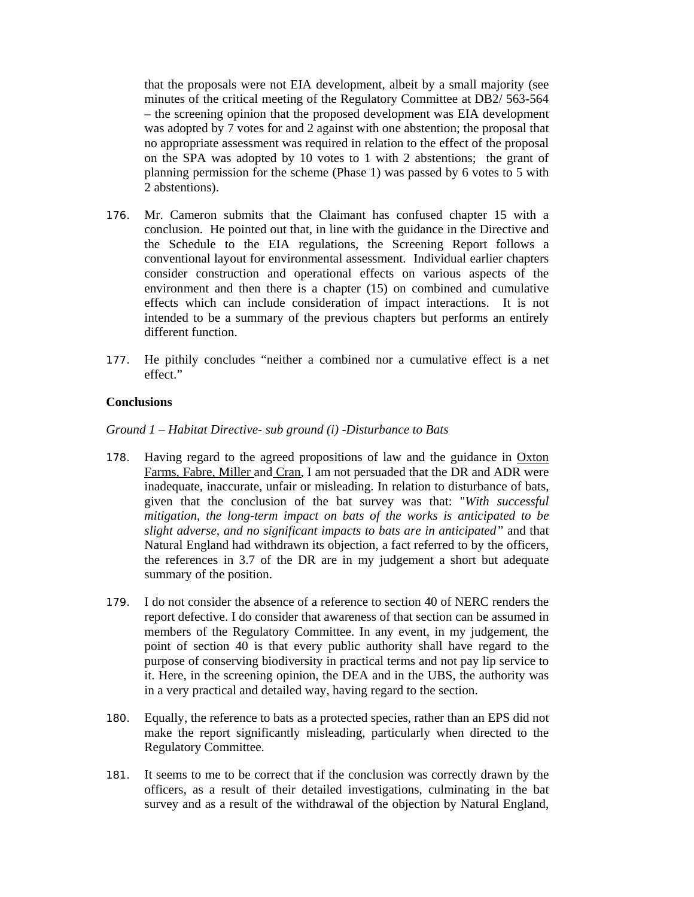that the proposals were not EIA development, albeit by a small majority (see minutes of the critical meeting of the Regulatory Committee at DB2/ 563-564 – the screening opinion that the proposed development was EIA development was adopted by 7 votes for and 2 against with one abstention; the proposal that no appropriate assessment was required in relation to the effect of the proposal on the SPA was adopted by 10 votes to 1 with 2 abstentions; the grant of planning permission for the scheme (Phase 1) was passed by 6 votes to 5 with 2 abstentions).

- 176. Mr. Cameron submits that the Claimant has confused chapter 15 with a conclusion. He pointed out that, in line with the guidance in the Directive and the Schedule to the EIA regulations, the Screening Report follows a conventional layout for environmental assessment. Individual earlier chapters consider construction and operational effects on various aspects of the environment and then there is a chapter (15) on combined and cumulative effects which can include consideration of impact interactions. It is not intended to be a summary of the previous chapters but performs an entirely different function.
- 177. He pithily concludes "neither a combined nor a cumulative effect is a net effect."

### **Conclusions**

*Ground 1 – Habitat Directive- sub ground (i) -Disturbance to Bats* 

- 178. Having regard to the agreed propositions of law and the guidance in Oxton Farms, Fabre, Miller and Cran, I am not persuaded that the DR and ADR were inadequate, inaccurate, unfair or misleading. In relation to disturbance of bats, given that the conclusion of the bat survey was that: "*With successful mitigation, the long-term impact on bats of the works is anticipated to be slight adverse, and no significant impacts to bats are in anticipated"* and that Natural England had withdrawn its objection, a fact referred to by the officers, the references in 3.7 of the DR are in my judgement a short but adequate summary of the position.
- 179. I do not consider the absence of a reference to section 40 of NERC renders the report defective. I do consider that awareness of that section can be assumed in members of the Regulatory Committee. In any event, in my judgement, the point of section 40 is that every public authority shall have regard to the purpose of conserving biodiversity in practical terms and not pay lip service to it. Here, in the screening opinion, the DEA and in the UBS, the authority was in a very practical and detailed way, having regard to the section.
- 180. Equally, the reference to bats as a protected species, rather than an EPS did not make the report significantly misleading, particularly when directed to the Regulatory Committee.
- 181. It seems to me to be correct that if the conclusion was correctly drawn by the officers, as a result of their detailed investigations, culminating in the bat survey and as a result of the withdrawal of the objection by Natural England,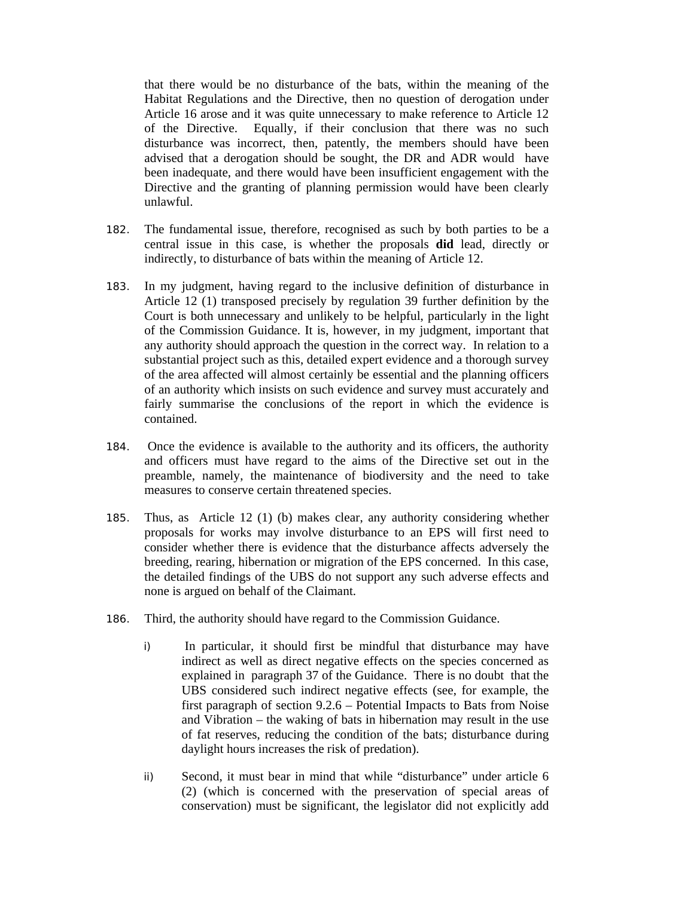that there would be no disturbance of the bats, within the meaning of the Habitat Regulations and the Directive, then no question of derogation under Article 16 arose and it was quite unnecessary to make reference to Article 12 of the Directive. Equally, if their conclusion that there was no such disturbance was incorrect, then, patently, the members should have been advised that a derogation should be sought, the DR and ADR would have been inadequate, and there would have been insufficient engagement with the Directive and the granting of planning permission would have been clearly unlawful.

- 182. The fundamental issue, therefore, recognised as such by both parties to be a central issue in this case, is whether the proposals **did** lead, directly or indirectly, to disturbance of bats within the meaning of Article 12.
- 183. In my judgment, having regard to the inclusive definition of disturbance in Article 12 (1) transposed precisely by regulation 39 further definition by the Court is both unnecessary and unlikely to be helpful, particularly in the light of the Commission Guidance. It is, however, in my judgment, important that any authority should approach the question in the correct way. In relation to a substantial project such as this, detailed expert evidence and a thorough survey of the area affected will almost certainly be essential and the planning officers of an authority which insists on such evidence and survey must accurately and fairly summarise the conclusions of the report in which the evidence is contained.
- 184. Once the evidence is available to the authority and its officers, the authority and officers must have regard to the aims of the Directive set out in the preamble, namely, the maintenance of biodiversity and the need to take measures to conserve certain threatened species.
- 185. Thus, as Article 12 (1) (b) makes clear, any authority considering whether proposals for works may involve disturbance to an EPS will first need to consider whether there is evidence that the disturbance affects adversely the breeding, rearing, hibernation or migration of the EPS concerned. In this case, the detailed findings of the UBS do not support any such adverse effects and none is argued on behalf of the Claimant.
- 186. Third, the authority should have regard to the Commission Guidance.
	- i) In particular, it should first be mindful that disturbance may have indirect as well as direct negative effects on the species concerned as explained in paragraph 37 of the Guidance. There is no doubt that the UBS considered such indirect negative effects (see, for example, the first paragraph of section 9.2.6 – Potential Impacts to Bats from Noise and Vibration – the waking of bats in hibernation may result in the use of fat reserves, reducing the condition of the bats; disturbance during daylight hours increases the risk of predation).
	- ii) Second, it must bear in mind that while "disturbance" under article 6 (2) (which is concerned with the preservation of special areas of conservation) must be significant, the legislator did not explicitly add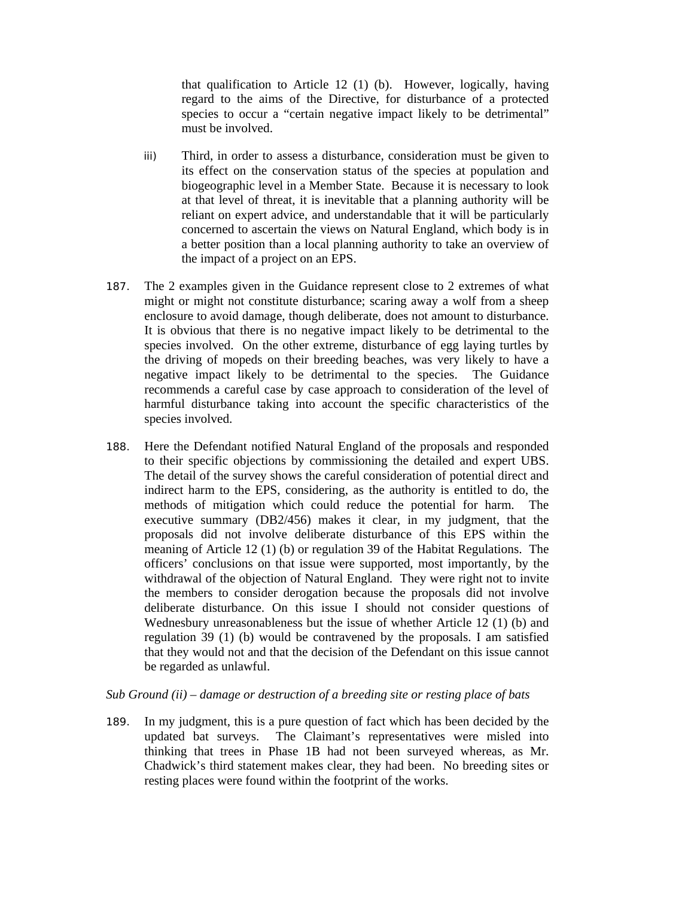that qualification to Article 12 (1) (b). However, logically, having regard to the aims of the Directive, for disturbance of a protected species to occur a "certain negative impact likely to be detrimental" must be involved.

- iii) Third, in order to assess a disturbance, consideration must be given to its effect on the conservation status of the species at population and biogeographic level in a Member State. Because it is necessary to look at that level of threat, it is inevitable that a planning authority will be reliant on expert advice, and understandable that it will be particularly concerned to ascertain the views on Natural England, which body is in a better position than a local planning authority to take an overview of the impact of a project on an EPS.
- 187. The 2 examples given in the Guidance represent close to 2 extremes of what might or might not constitute disturbance; scaring away a wolf from a sheep enclosure to avoid damage, though deliberate, does not amount to disturbance. It is obvious that there is no negative impact likely to be detrimental to the species involved. On the other extreme, disturbance of egg laying turtles by the driving of mopeds on their breeding beaches, was very likely to have a negative impact likely to be detrimental to the species. The Guidance recommends a careful case by case approach to consideration of the level of harmful disturbance taking into account the specific characteristics of the species involved.
- 188. Here the Defendant notified Natural England of the proposals and responded to their specific objections by commissioning the detailed and expert UBS. The detail of the survey shows the careful consideration of potential direct and indirect harm to the EPS, considering, as the authority is entitled to do, the methods of mitigation which could reduce the potential for harm. The executive summary (DB2/456) makes it clear, in my judgment, that the proposals did not involve deliberate disturbance of this EPS within the meaning of Article 12 (1) (b) or regulation 39 of the Habitat Regulations. The officers' conclusions on that issue were supported, most importantly, by the withdrawal of the objection of Natural England. They were right not to invite the members to consider derogation because the proposals did not involve deliberate disturbance. On this issue I should not consider questions of Wednesbury unreasonableness but the issue of whether Article 12 (1) (b) and regulation 39 (1) (b) would be contravened by the proposals. I am satisfied that they would not and that the decision of the Defendant on this issue cannot be regarded as unlawful.

#### *Sub Ground (ii) – damage or destruction of a breeding site or resting place of bats*

189. In my judgment, this is a pure question of fact which has been decided by the updated bat surveys. The Claimant's representatives were misled into thinking that trees in Phase 1B had not been surveyed whereas, as Mr. Chadwick's third statement makes clear, they had been. No breeding sites or resting places were found within the footprint of the works.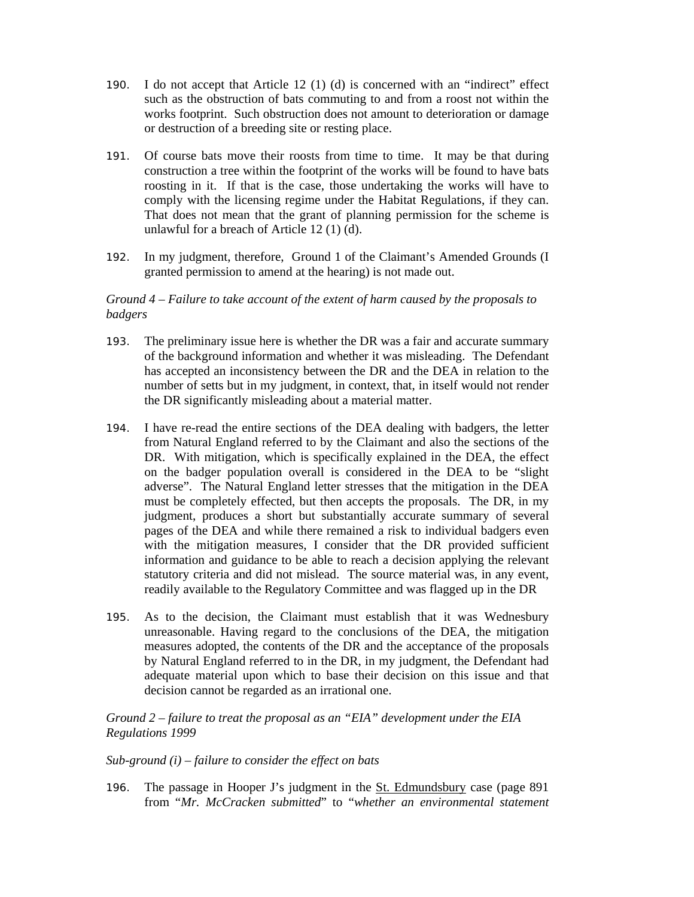- 190. I do not accept that Article 12 (1) (d) is concerned with an "indirect" effect such as the obstruction of bats commuting to and from a roost not within the works footprint. Such obstruction does not amount to deterioration or damage or destruction of a breeding site or resting place.
- 191. Of course bats move their roosts from time to time. It may be that during construction a tree within the footprint of the works will be found to have bats roosting in it. If that is the case, those undertaking the works will have to comply with the licensing regime under the Habitat Regulations, if they can. That does not mean that the grant of planning permission for the scheme is unlawful for a breach of Article 12 (1) (d).
- 192. In my judgment, therefore, Ground 1 of the Claimant's Amended Grounds (I granted permission to amend at the hearing) is not made out.

### *Ground 4 – Failure to take account of the extent of harm caused by the proposals to badgers*

- 193. The preliminary issue here is whether the DR was a fair and accurate summary of the background information and whether it was misleading. The Defendant has accepted an inconsistency between the DR and the DEA in relation to the number of setts but in my judgment, in context, that, in itself would not render the DR significantly misleading about a material matter.
- 194. I have re-read the entire sections of the DEA dealing with badgers, the letter from Natural England referred to by the Claimant and also the sections of the DR. With mitigation, which is specifically explained in the DEA, the effect on the badger population overall is considered in the DEA to be "slight adverse". The Natural England letter stresses that the mitigation in the DEA must be completely effected, but then accepts the proposals. The DR, in my judgment, produces a short but substantially accurate summary of several pages of the DEA and while there remained a risk to individual badgers even with the mitigation measures, I consider that the DR provided sufficient information and guidance to be able to reach a decision applying the relevant statutory criteria and did not mislead. The source material was, in any event, readily available to the Regulatory Committee and was flagged up in the DR
- 195. As to the decision, the Claimant must establish that it was Wednesbury unreasonable. Having regard to the conclusions of the DEA, the mitigation measures adopted, the contents of the DR and the acceptance of the proposals by Natural England referred to in the DR, in my judgment, the Defendant had adequate material upon which to base their decision on this issue and that decision cannot be regarded as an irrational one.

### *Ground 2 – failure to treat the proposal as an "EIA" development under the EIA Regulations 1999*

### *Sub-ground (i) – failure to consider the effect on bats*

196. The passage in Hooper J's judgment in the St. Edmundsbury case (page 891 from "*Mr. McCracken submitted*" to "*whether an environmental statement*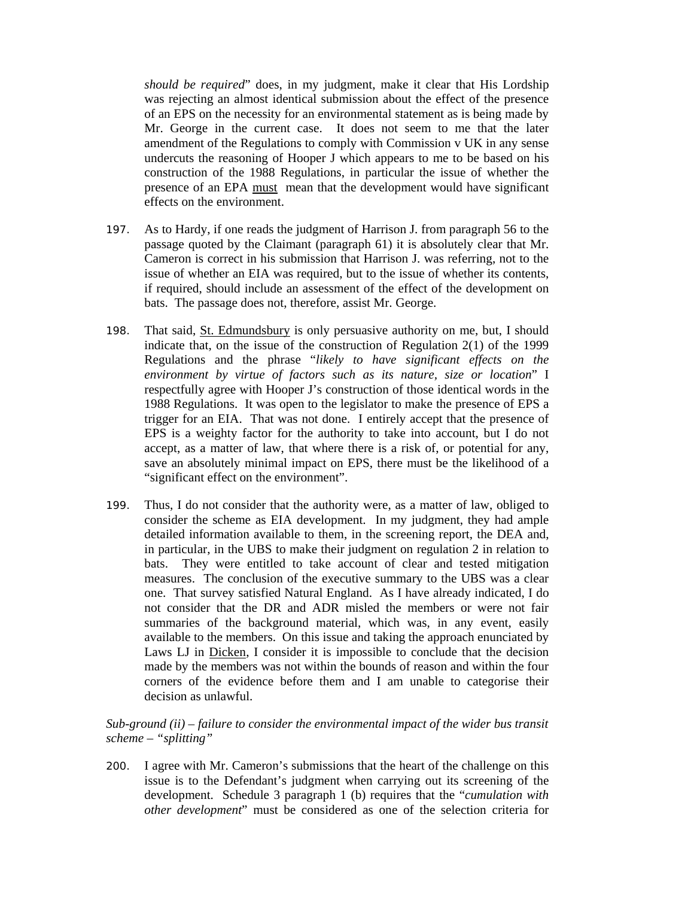*should be required*" does, in my judgment, make it clear that His Lordship was rejecting an almost identical submission about the effect of the presence of an EPS on the necessity for an environmental statement as is being made by Mr. George in the current case. It does not seem to me that the later amendment of the Regulations to comply with Commission v UK in any sense undercuts the reasoning of Hooper J which appears to me to be based on his construction of the 1988 Regulations, in particular the issue of whether the presence of an EPA must mean that the development would have significant effects on the environment.

- 197. As to Hardy, if one reads the judgment of Harrison J. from paragraph 56 to the passage quoted by the Claimant (paragraph 61) it is absolutely clear that Mr. Cameron is correct in his submission that Harrison J. was referring, not to the issue of whether an EIA was required, but to the issue of whether its contents, if required, should include an assessment of the effect of the development on bats. The passage does not, therefore, assist Mr. George.
- 198. That said, St. Edmundsbury is only persuasive authority on me, but, I should indicate that, on the issue of the construction of Regulation 2(1) of the 1999 Regulations and the phrase "*likely to have significant effects on the environment by virtue of factors such as its nature, size or location*" I respectfully agree with Hooper J's construction of those identical words in the 1988 Regulations. It was open to the legislator to make the presence of EPS a trigger for an EIA. That was not done. I entirely accept that the presence of EPS is a weighty factor for the authority to take into account, but I do not accept, as a matter of law, that where there is a risk of, or potential for any, save an absolutely minimal impact on EPS, there must be the likelihood of a "significant effect on the environment".
- 199. Thus, I do not consider that the authority were, as a matter of law, obliged to consider the scheme as EIA development. In my judgment, they had ample detailed information available to them, in the screening report, the DEA and, in particular, in the UBS to make their judgment on regulation 2 in relation to bats. They were entitled to take account of clear and tested mitigation measures. The conclusion of the executive summary to the UBS was a clear one. That survey satisfied Natural England. As I have already indicated, I do not consider that the DR and ADR misled the members or were not fair summaries of the background material, which was, in any event, easily available to the members. On this issue and taking the approach enunciated by Laws LJ in Dicken, I consider it is impossible to conclude that the decision made by the members was not within the bounds of reason and within the four corners of the evidence before them and I am unable to categorise their decision as unlawful.

*Sub-ground (ii) – failure to consider the environmental impact of the wider bus transit scheme – "splitting"* 

200. I agree with Mr. Cameron's submissions that the heart of the challenge on this issue is to the Defendant's judgment when carrying out its screening of the development. Schedule 3 paragraph 1 (b) requires that the "*cumulation with other development*" must be considered as one of the selection criteria for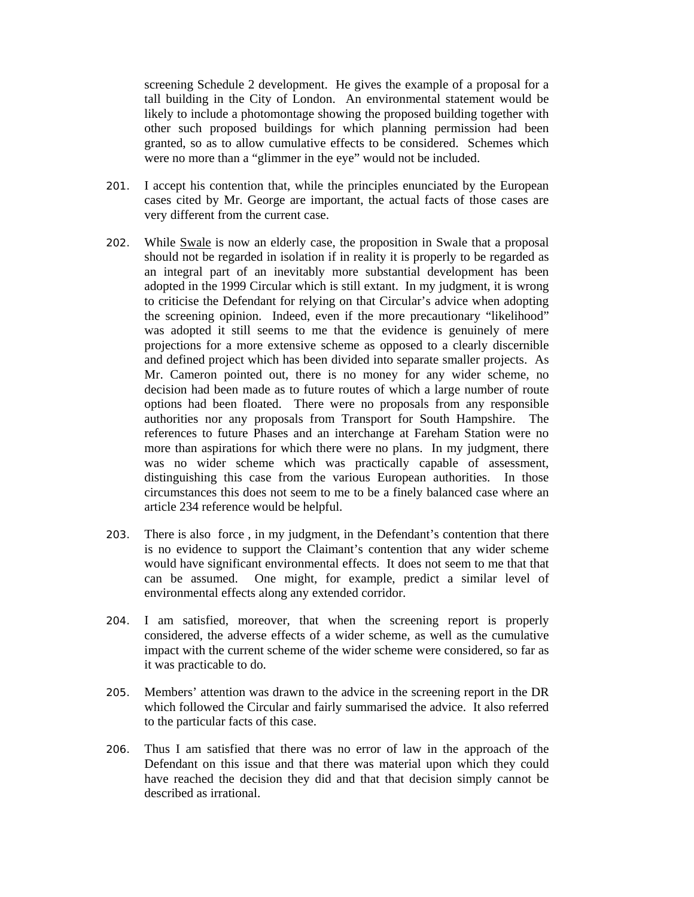screening Schedule 2 development. He gives the example of a proposal for a tall building in the City of London. An environmental statement would be likely to include a photomontage showing the proposed building together with other such proposed buildings for which planning permission had been granted, so as to allow cumulative effects to be considered. Schemes which were no more than a "glimmer in the eye" would not be included.

- 201. I accept his contention that, while the principles enunciated by the European cases cited by Mr. George are important, the actual facts of those cases are very different from the current case.
- 202. While Swale is now an elderly case, the proposition in Swale that a proposal should not be regarded in isolation if in reality it is properly to be regarded as an integral part of an inevitably more substantial development has been adopted in the 1999 Circular which is still extant. In my judgment, it is wrong to criticise the Defendant for relying on that Circular's advice when adopting the screening opinion. Indeed, even if the more precautionary "likelihood" was adopted it still seems to me that the evidence is genuinely of mere projections for a more extensive scheme as opposed to a clearly discernible and defined project which has been divided into separate smaller projects. As Mr. Cameron pointed out, there is no money for any wider scheme, no decision had been made as to future routes of which a large number of route options had been floated. There were no proposals from any responsible authorities nor any proposals from Transport for South Hampshire. The references to future Phases and an interchange at Fareham Station were no more than aspirations for which there were no plans. In my judgment, there was no wider scheme which was practically capable of assessment, distinguishing this case from the various European authorities. In those circumstances this does not seem to me to be a finely balanced case where an article 234 reference would be helpful.
- 203. There is also force , in my judgment, in the Defendant's contention that there is no evidence to support the Claimant's contention that any wider scheme would have significant environmental effects. It does not seem to me that that can be assumed. One might, for example, predict a similar level of environmental effects along any extended corridor.
- 204. I am satisfied, moreover, that when the screening report is properly considered, the adverse effects of a wider scheme, as well as the cumulative impact with the current scheme of the wider scheme were considered, so far as it was practicable to do.
- 205. Members' attention was drawn to the advice in the screening report in the DR which followed the Circular and fairly summarised the advice. It also referred to the particular facts of this case.
- 206. Thus I am satisfied that there was no error of law in the approach of the Defendant on this issue and that there was material upon which they could have reached the decision they did and that that decision simply cannot be described as irrational.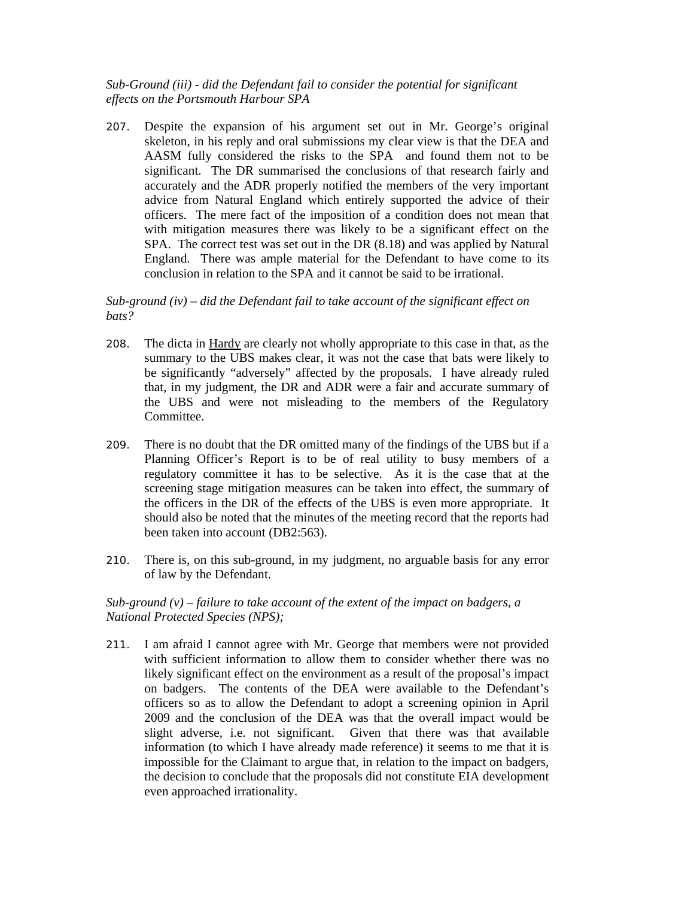# *Sub-Ground (iii) - did the Defendant fail to consider the potential for significant effects on the Portsmouth Harbour SPA*

207. Despite the expansion of his argument set out in Mr. George's original skeleton, in his reply and oral submissions my clear view is that the DEA and AASM fully considered the risks to the SPA and found them not to be significant. The DR summarised the conclusions of that research fairly and accurately and the ADR properly notified the members of the very important advice from Natural England which entirely supported the advice of their officers. The mere fact of the imposition of a condition does not mean that with mitigation measures there was likely to be a significant effect on the SPA. The correct test was set out in the DR (8.18) and was applied by Natural England. There was ample material for the Defendant to have come to its conclusion in relation to the SPA and it cannot be said to be irrational.

### *Sub-ground (iv) – did the Defendant fail to take account of the significant effect on bats?*

- 208. The dicta in Hardy are clearly not wholly appropriate to this case in that, as the summary to the UBS makes clear, it was not the case that bats were likely to be significantly "adversely" affected by the proposals. I have already ruled that, in my judgment, the DR and ADR were a fair and accurate summary of the UBS and were not misleading to the members of the Regulatory Committee.
- 209. There is no doubt that the DR omitted many of the findings of the UBS but if a Planning Officer's Report is to be of real utility to busy members of a regulatory committee it has to be selective. As it is the case that at the screening stage mitigation measures can be taken into effect, the summary of the officers in the DR of the effects of the UBS is even more appropriate. It should also be noted that the minutes of the meeting record that the reports had been taken into account (DB2:563).
- 210. There is, on this sub-ground, in my judgment, no arguable basis for any error of law by the Defendant.

### *Sub-ground (v) – failure to take account of the extent of the impact on badgers, a National Protected Species (NPS);*

211. I am afraid I cannot agree with Mr. George that members were not provided with sufficient information to allow them to consider whether there was no likely significant effect on the environment as a result of the proposal's impact on badgers. The contents of the DEA were available to the Defendant's officers so as to allow the Defendant to adopt a screening opinion in April 2009 and the conclusion of the DEA was that the overall impact would be slight adverse, i.e. not significant. Given that there was that available information (to which I have already made reference) it seems to me that it is impossible for the Claimant to argue that, in relation to the impact on badgers, the decision to conclude that the proposals did not constitute EIA development even approached irrationality.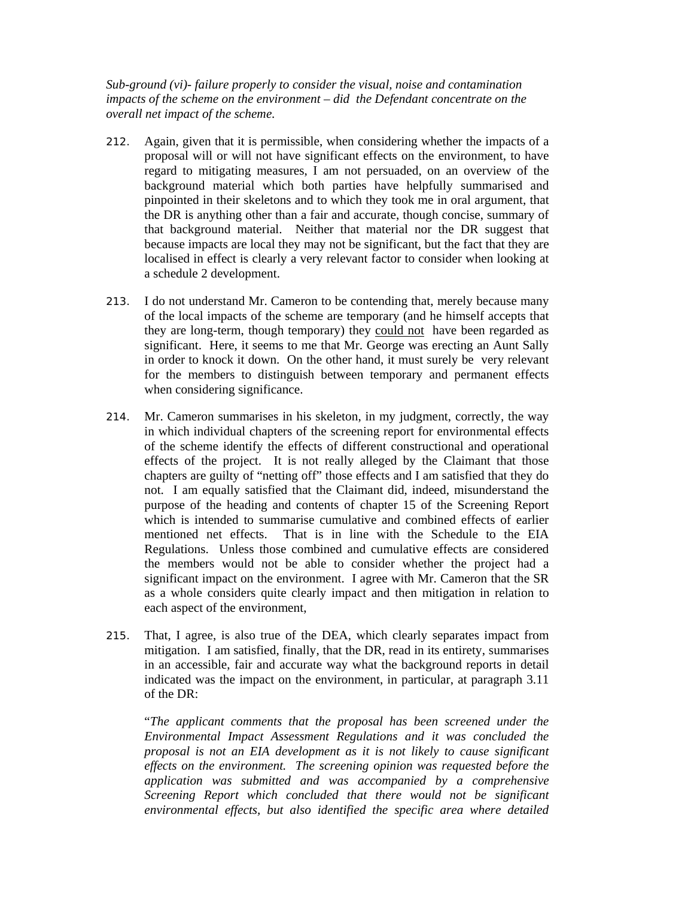*Sub-ground (vi)- failure properly to consider the visual, noise and contamination impacts of the scheme on the environment – did the Defendant concentrate on the overall net impact of the scheme.* 

- 212. Again, given that it is permissible, when considering whether the impacts of a proposal will or will not have significant effects on the environment, to have regard to mitigating measures, I am not persuaded, on an overview of the background material which both parties have helpfully summarised and pinpointed in their skeletons and to which they took me in oral argument, that the DR is anything other than a fair and accurate, though concise, summary of that background material. Neither that material nor the DR suggest that because impacts are local they may not be significant, but the fact that they are localised in effect is clearly a very relevant factor to consider when looking at a schedule 2 development.
- 213. I do not understand Mr. Cameron to be contending that, merely because many of the local impacts of the scheme are temporary (and he himself accepts that they are long-term, though temporary) they could not have been regarded as significant. Here, it seems to me that Mr. George was erecting an Aunt Sally in order to knock it down. On the other hand, it must surely be very relevant for the members to distinguish between temporary and permanent effects when considering significance.
- 214. Mr. Cameron summarises in his skeleton, in my judgment, correctly, the way in which individual chapters of the screening report for environmental effects of the scheme identify the effects of different constructional and operational effects of the project. It is not really alleged by the Claimant that those chapters are guilty of "netting off" those effects and I am satisfied that they do not. I am equally satisfied that the Claimant did, indeed, misunderstand the purpose of the heading and contents of chapter 15 of the Screening Report which is intended to summarise cumulative and combined effects of earlier mentioned net effects. That is in line with the Schedule to the EIA Regulations. Unless those combined and cumulative effects are considered the members would not be able to consider whether the project had a significant impact on the environment. I agree with Mr. Cameron that the SR as a whole considers quite clearly impact and then mitigation in relation to each aspect of the environment,
- 215. That, I agree, is also true of the DEA, which clearly separates impact from mitigation. I am satisfied, finally, that the DR, read in its entirety, summarises in an accessible, fair and accurate way what the background reports in detail indicated was the impact on the environment, in particular, at paragraph 3.11 of the DR:

"*The applicant comments that the proposal has been screened under the Environmental Impact Assessment Regulations and it was concluded the proposal is not an EIA development as it is not likely to cause significant effects on the environment. The screening opinion was requested before the application was submitted and was accompanied by a comprehensive Screening Report which concluded that there would not be significant environmental effects, but also identified the specific area where detailed*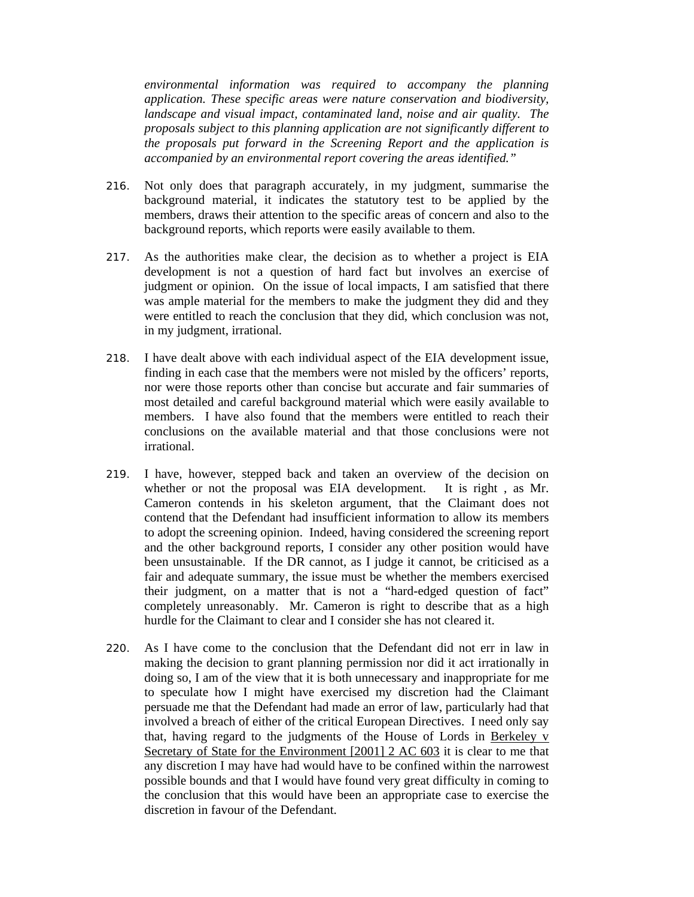*environmental information was required to accompany the planning application. These specific areas were nature conservation and biodiversity, landscape and visual impact, contaminated land, noise and air quality. The proposals subject to this planning application are not significantly different to the proposals put forward in the Screening Report and the application is accompanied by an environmental report covering the areas identified."* 

- 216. Not only does that paragraph accurately, in my judgment, summarise the background material, it indicates the statutory test to be applied by the members, draws their attention to the specific areas of concern and also to the background reports, which reports were easily available to them.
- 217. As the authorities make clear, the decision as to whether a project is EIA development is not a question of hard fact but involves an exercise of judgment or opinion. On the issue of local impacts, I am satisfied that there was ample material for the members to make the judgment they did and they were entitled to reach the conclusion that they did, which conclusion was not, in my judgment, irrational.
- 218. I have dealt above with each individual aspect of the EIA development issue, finding in each case that the members were not misled by the officers' reports, nor were those reports other than concise but accurate and fair summaries of most detailed and careful background material which were easily available to members. I have also found that the members were entitled to reach their conclusions on the available material and that those conclusions were not irrational.
- 219. I have, however, stepped back and taken an overview of the decision on whether or not the proposal was EIA development. It is right, as Mr. Cameron contends in his skeleton argument, that the Claimant does not contend that the Defendant had insufficient information to allow its members to adopt the screening opinion. Indeed, having considered the screening report and the other background reports, I consider any other position would have been unsustainable. If the DR cannot, as I judge it cannot, be criticised as a fair and adequate summary, the issue must be whether the members exercised their judgment, on a matter that is not a "hard-edged question of fact" completely unreasonably. Mr. Cameron is right to describe that as a high hurdle for the Claimant to clear and I consider she has not cleared it.
- 220. As I have come to the conclusion that the Defendant did not err in law in making the decision to grant planning permission nor did it act irrationally in doing so, I am of the view that it is both unnecessary and inappropriate for me to speculate how I might have exercised my discretion had the Claimant persuade me that the Defendant had made an error of law, particularly had that involved a breach of either of the critical European Directives. I need only say that, having regard to the judgments of the House of Lords in Berkeley v Secretary of State for the Environment [2001] 2 AC 603 it is clear to me that any discretion I may have had would have to be confined within the narrowest possible bounds and that I would have found very great difficulty in coming to the conclusion that this would have been an appropriate case to exercise the discretion in favour of the Defendant.